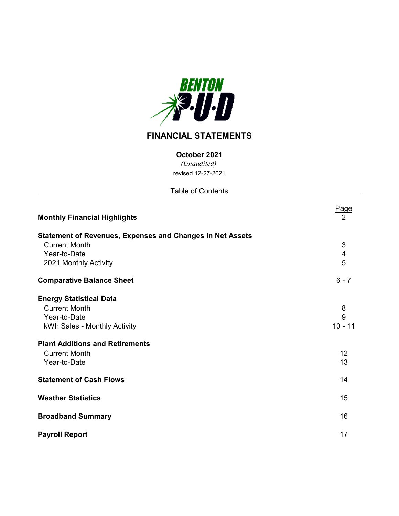

# **FINANCIAL STATEMENTS**

**October 2021**

*(Unaudited)* revised 12-27-2021

Table of Contents

| <b>Monthly Financial Highlights</b>                                                                                                              | Page<br>2           |
|--------------------------------------------------------------------------------------------------------------------------------------------------|---------------------|
| <b>Statement of Revenues, Expenses and Changes in Net Assets</b><br><b>Current Month</b><br>Year-to-Date<br>2021 Monthly Activity                | 3<br>4<br>5         |
| <b>Comparative Balance Sheet</b>                                                                                                                 | $6 - 7$             |
| <b>Energy Statistical Data</b><br><b>Current Month</b><br>Year-to-Date<br>kWh Sales - Monthly Activity<br><b>Plant Additions and Retirements</b> | 8<br>9<br>$10 - 11$ |
| <b>Current Month</b><br>Year-to-Date                                                                                                             | 12<br>13            |
| <b>Statement of Cash Flows</b>                                                                                                                   | 14                  |
| <b>Weather Statistics</b>                                                                                                                        | 15                  |
| <b>Broadband Summary</b>                                                                                                                         | 16                  |
| <b>Payroll Report</b>                                                                                                                            | 17                  |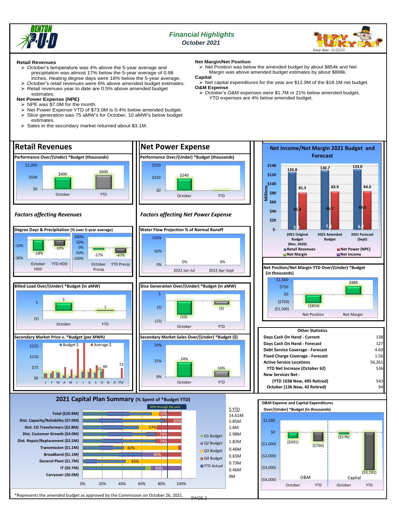



### **Retail Revenues**

- ➢ October's temperature was 4% above the 5-year average and precipitation was almost 17% below the 5-year average of 0.98 inches. Heating degree days were 18% below the 5-year average.
- $\geq$  October's retail revenues were 6% above amended budget estimates.<br> $\geq$  Retail revenues vear to date are 0.5% above amended budget ➢ Retail revenues year to date are 0.5% above amended budget estimates.

### **Net Power Expense (NPE)**

- 
- $\triangleright$  NPE was \$7.0M for the month.<br> $\triangleright$  Net Power Expense VTD of fixed
- ➢ Net Power Expense YTD of \$73.0M is 0.4% below amended budget. Slice generation was 75 aMW's for October, 10 aMW's below budget estimates.
- ➢ Sales in the secondary market returned about \$3.1M.

### **Net Margin/Net Position**

➢ Net Position was below the amended budget by about \$854k and Net Margin was above amended budget estimates by about \$888k. **Capital**

- **.**<br>▸ Net capital expenditures for the year are \$12.9M of the \$18.1M net budget. **O&M Expense**
- ➢ October's O&M expenses were \$1.7M or 21% below amended budget, YTD expenses are 4% below amended budget.

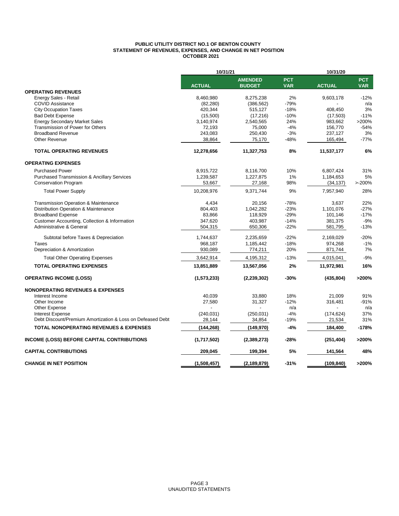### **PUBLIC UTILITY DISTRICT NO.1 OF BENTON COUNTY STATEMENT OF REVENUES, EXPENSES, AND CHANGE IN NET POSITION OCTOBER 2021**

|                                                            | 10/31/21      | 10/31/20                        |                          |               |                          |
|------------------------------------------------------------|---------------|---------------------------------|--------------------------|---------------|--------------------------|
|                                                            | <b>ACTUAL</b> | <b>AMENDED</b><br><b>BUDGET</b> | <b>PCT</b><br><b>VAR</b> | <b>ACTUAL</b> | <b>PCT</b><br><b>VAR</b> |
| <b>OPERATING REVENUES</b>                                  |               |                                 |                          |               |                          |
| Energy Sales - Retail                                      | 8,460,980     | 8,275,238                       | 2%                       | 9,603,178     | $-12%$                   |
| <b>COVID Assistance</b>                                    | (82, 280)     | (386, 562)                      | $-79%$                   |               | n/a                      |
| <b>City Occupation Taxes</b>                               | 420,344       | 515,127                         | $-18%$                   | 408,450       | 3%                       |
| <b>Bad Debt Expense</b>                                    | (15,500)      | (17, 216)                       | $-10%$                   | (17,503)      | $-11%$                   |
| <b>Energy Secondary Market Sales</b>                       | 3,140,974     | 2,540,565                       | 24%                      | 983,662       | >200%                    |
| Transmission of Power for Others                           | 72,193        | 75,000                          | $-4%$                    | 156,770       | $-54%$                   |
| <b>Broadband Revenue</b>                                   | 243,083       | 250,430                         | $-3%$                    | 237,127       | 3%                       |
| <b>Other Revenue</b>                                       | 38,864        | 75,170                          | $-48%$                   | 165,494       | $-77%$                   |
| <b>TOTAL OPERATING REVENUES</b>                            | 12,278,656    | 11,327,753                      | 8%                       | 11,537,177    | 6%                       |
| <b>OPERATING EXPENSES</b>                                  |               |                                 |                          |               |                          |
| <b>Purchased Power</b>                                     | 8,915,722     | 8,116,700                       | 10%                      | 6,807,424     | 31%                      |
| <b>Purchased Transmission &amp; Ancillary Services</b>     | 1,239,587     | 1,227,875                       | 1%                       | 1,184,653     | 5%                       |
| <b>Conservation Program</b>                                | 53,667        | 27,168                          | 98%                      | (34, 137)     | >200%                    |
| <b>Total Power Supply</b>                                  | 10,208,976    | 9,371,744                       | 9%                       | 7,957,940     | 28%                      |
| <b>Transmission Operation &amp; Maintenance</b>            | 4,434         | 20,156                          | $-78%$                   | 3,637         | 22%                      |
| Distribution Operation & Maintenance                       | 804,403       | 1,042,282                       | $-23%$                   | 1,101,076     | $-27%$                   |
| <b>Broadband Expense</b>                                   | 83,866        | 118,929                         | $-29%$                   | 101,146       | $-17%$                   |
| Customer Accounting, Collection & Information              | 347,620       | 403,987                         | $-14%$                   | 381,375       | $-9%$                    |
| Administrative & General                                   | 504,315       | 650,306                         | $-22%$                   | 581,795       | $-13%$                   |
| Subtotal before Taxes & Depreciation                       | 1,744,637     | 2,235,659                       | $-22%$                   | 2,169,029     | $-20%$                   |
| Taxes                                                      | 968,187       | 1,185,442                       | $-18%$                   | 974,268       | $-1%$                    |
| Depreciation & Amortization                                | 930,089       | 774,211                         | 20%                      | 871,744       | 7%                       |
| <b>Total Other Operating Expenses</b>                      | 3,642,914     | 4,195,312                       | $-13%$                   | 4,015,041     | $-9%$                    |
| <b>TOTAL OPERATING EXPENSES</b>                            | 13,851,889    | 13,567,056                      | 2%                       | 11,972,981    | 16%                      |
| <b>OPERATING INCOME (LOSS)</b>                             | (1,573,233)   | (2, 239, 302)                   | $-30%$                   | (435, 804)    | >200%                    |
| <b>NONOPERATING REVENUES &amp; EXPENSES</b>                |               |                                 |                          |               |                          |
| Interest Income                                            | 40,039        | 33,880                          | 18%                      | 21,009        | 91%                      |
| Other Income                                               | 27,580        | 31,327                          | $-12%$                   | 316,481       | $-91%$                   |
| Other Expense                                              |               |                                 | n/a                      |               | n/a                      |
| <b>Interest Expense</b>                                    | (240, 031)    | (250, 031)                      | $-4%$                    | (174, 624)    | 37%                      |
| Debt Discount/Premium Amortization & Loss on Defeased Debt | 28,144        | 34,854                          | $-19%$                   | 21,534        | 31%                      |
| <b>TOTAL NONOPERATING REVENUES &amp; EXPENSES</b>          | (144, 268)    | (149, 970)                      | $-4%$                    | 184,400       | $-178%$                  |
| <b>INCOME (LOSS) BEFORE CAPITAL CONTRIBUTIONS</b>          | (1,717,502)   | (2,389,273)                     | $-28%$                   | (251, 404)    | >200%                    |
| <b>CAPITAL CONTRIBUTIONS</b>                               | 209.045       | 199.394                         | 5%                       | 141,564       | 48%                      |
| <b>CHANGE IN NET POSITION</b>                              | (1,508,457)   | (2, 189, 879)                   | $-31%$                   | (109, 840)    | >200%                    |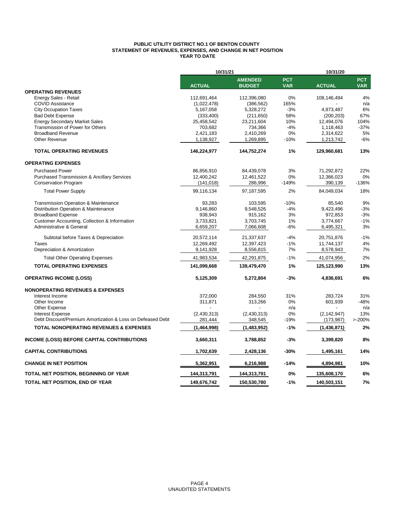### **PUBLIC UTILITY DISTRICT NO.1 OF BENTON COUNTY STATEMENT OF REVENUES, EXPENSES, AND CHANGE IN NET POSITION YEAR TO DATE**

|                                                            | 10/31/21      |                                 |                          | 10/31/20      |                          |
|------------------------------------------------------------|---------------|---------------------------------|--------------------------|---------------|--------------------------|
|                                                            | <b>ACTUAL</b> | <b>AMENDED</b><br><b>BUDGET</b> | <b>PCT</b><br><b>VAR</b> | <b>ACTUAL</b> | <b>PCT</b><br><b>VAR</b> |
| <b>OPERATING REVENUES</b>                                  |               |                                 |                          |               |                          |
| Energy Sales - Retail                                      | 112,691,464   | 112,396,080                     | 0%                       | 108,146,494   | 4%                       |
| <b>COVID Assistance</b>                                    | (1,022,478)   | (386, 562)                      | 165%                     |               | n/a                      |
| <b>City Occupation Taxes</b>                               | 5,167,058     | 5,328,272                       | $-3%$                    | 4,873,487     | 6%                       |
| <b>Bad Debt Expense</b>                                    | (333, 400)    | (211, 650)                      | 58%                      | (200, 203)    | 67%                      |
| <b>Energy Secondary Market Sales</b>                       | 25,458,542    | 23,211,604                      | 10%                      | 12,494,076    | 104%                     |
| Transmission of Power for Others                           | 703,682       | 734,366                         | $-4%$                    | 1,118,463     | $-37%$                   |
| <b>Broadband Revenue</b>                                   | 2,421,183     | 2,410,269                       | 0%                       | 2,314,622     | 5%                       |
| Other Revenue                                              | 1,138,927     | 1,269,895                       | $-10%$                   | 1,213,742     | $-6%$                    |
| <b>TOTAL OPERATING REVENUES</b>                            | 146,224,977   | 144,752,274                     | 1%                       | 129,960,681   | 13%                      |
| <b>OPERATING EXPENSES</b>                                  |               |                                 |                          |               |                          |
| <b>Purchased Power</b>                                     | 86,856,910    | 84,439,078                      | 3%                       | 71,292,872    | 22%                      |
| <b>Purchased Transmission &amp; Ancillary Services</b>     | 12,400,242    | 12,461,522                      | 0%                       | 12,366,023    | 0%                       |
| <b>Conservation Program</b>                                | (141, 018)    | 286,996                         | $-149%$                  | 390,139       | $-136%$                  |
| <b>Total Power Supply</b>                                  | 99,116,134    | 97,187,595                      | 2%                       | 84,049,034    | 18%                      |
| Transmission Operation & Maintenance                       | 93,283        | 103,595                         | $-10%$                   | 85,540        | 9%                       |
| Distribution Operation & Maintenance                       | 9,146,860     | 9,548,526                       | $-4%$                    | 9,423,496     | $-3%$                    |
| <b>Broadband Expense</b>                                   | 938,943       | 915,162                         | 3%                       | 972,853       | $-3%$                    |
| Customer Accounting, Collection & Information              | 3,733,821     | 3,703,745                       | 1%                       | 3,774,667     | $-1%$                    |
| Administrative & General                                   | 6,659,207     | 7,066,608                       | -6%                      | 6,495,321     | 3%                       |
| Subtotal before Taxes & Depreciation                       | 20,572,114    | 21,337,637                      | $-4%$                    | 20,751,876    | $-1%$                    |
| Taxes                                                      | 12,269,492    | 12,397,423                      | $-1%$                    | 11,744,137    | 4%                       |
| Depreciation & Amortization                                | 9,141,928     | 8,556,815                       | 7%                       | 8,578,943     | 7%                       |
| <b>Total Other Operating Expenses</b>                      | 41,983,534    | 42,291,875                      | $-1%$                    | 41,074,956    | 2%                       |
| <b>TOTAL OPERATING EXPENSES</b>                            | 141,099,668   | 139,479,470                     | 1%                       | 125,123,990   | 13%                      |
| <b>OPERATING INCOME (LOSS)</b>                             | 5,125,309     | 5,272,804                       | $-3%$                    | 4,836,691     | 6%                       |
| <b>NONOPERATING REVENUES &amp; EXPENSES</b>                |               |                                 |                          |               |                          |
| Interest Income                                            | 372,000       | 284,550                         | 31%                      | 283,724       | 31%                      |
| Other Income                                               | 311,871       | 313,266                         | 0%                       | 601,939       | $-48%$                   |
| <b>Other Expense</b>                                       |               |                                 | n/a                      |               | n/a                      |
| <b>Interest Expense</b>                                    | (2,430,313)   | (2,430,313)                     | $0\%$                    | (2, 142, 947) | 13%                      |
| Debt Discount/Premium Amortization & Loss on Defeased Debt | 281,444       | 348,545                         | $-19%$                   | (173, 987)    | >200%                    |
| <b>TOTAL NONOPERATING REVENUES &amp; EXPENSES</b>          | (1,464,998)   | (1,483,952)                     | $-1%$                    | (1,436,871)   | 2%                       |
| <b>INCOME (LOSS) BEFORE CAPITAL CONTRIBUTIONS</b>          | 3,660,311     | 3,788,852                       | $-3%$                    | 3,399,820     | 8%                       |
| <b>CAPITAL CONTRIBUTIONS</b>                               | 1,702,639     | 2,428,136                       | -30%                     | 1,495,161     | 14%                      |
| <b>CHANGE IN NET POSITION</b>                              | 5,362,951     | 6,216,988                       | $-14%$                   | 4,894,981     | 10%                      |
| TOTAL NET POSITION, BEGINNING OF YEAR                      | 144,313,791   | 144,313,791                     | 0%                       | 135,608,170   | 6%                       |
| TOTAL NET POSITION, END OF YEAR                            | 149,676,742   | 150,530,780                     | $-1%$                    | 140,503,151   | 7%                       |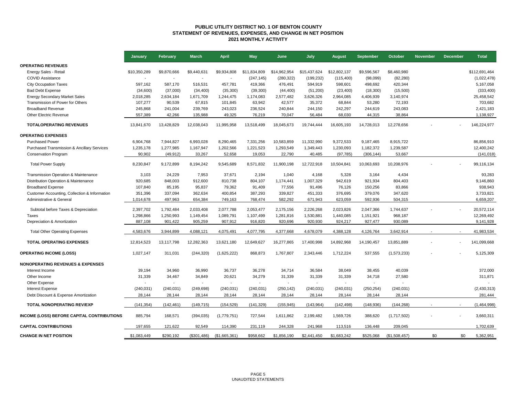### **PUBLIC UTILITY DISTRICT NO. 1 OF BENTON COUNTY STATEMENT OF REVENUES, EXPENSES, AND CHANGE IN NET POSITION 2021 MONTHLY ACTIVITY**

|                                                        | January        | February       | <b>March</b> | <b>April</b>  | <b>May</b>   | June         | July         | <b>August</b>            | September                | October       | <b>November</b> | <b>December</b> | <b>Total</b>  |
|--------------------------------------------------------|----------------|----------------|--------------|---------------|--------------|--------------|--------------|--------------------------|--------------------------|---------------|-----------------|-----------------|---------------|
| <b>OPERATING REVENUES</b>                              |                |                |              |               |              |              |              |                          |                          |               |                 |                 |               |
| Energy Sales - Retail                                  | \$10,350,289   | \$9,870,666    | \$9,440,631  | \$9,934,808   | \$11,834,809 | \$14,962,954 | \$15,437,624 | \$12,802,137             | \$9,596,567              | \$8,460,980   |                 |                 | \$112,691,464 |
| <b>COVID Assistance</b>                                |                | $\overline{a}$ |              |               | (247, 145)   | (280, 322)   | (199, 232)   | (115, 400)               | (98,099)                 | (82, 280)     |                 |                 | (1,022,478)   |
| <b>City Occupation Taxes</b>                           | 597.162        | 587,170        | 516,531      | 457,781       | 419,366      | 476,491      | 594,919      | 598,601                  | 498,692                  | 420,344       |                 |                 | 5,167,058     |
| <b>Bad Debt Expense</b>                                | (34,600)       | (37,000)       | (34, 400)    | (35, 300)     | (39, 300)    | (44, 400)    | (51, 200)    | (23, 400)                | (18,300)                 | (15,500)      |                 |                 | (333, 400)    |
| <b>Energy Secondary Market Sales</b>                   | 2,018,285      | 2,634,184      | 1,671,709    | 1,244,475     | 1,174,083    | 2,577,482    | 3,626,326    | 2,964,085                | 4,406,939                | 3,140,974     |                 |                 | 25,458,542    |
| Transmission of Power for Others                       | 107,277        | 90,539         | 67,815       | 101,845       | 63,942       | 42,577       | 35,372       | 68,844                   | 53,280                   | 72,193        |                 |                 | 703,682       |
| <b>Broadband Revenue</b>                               | 245,868        | 241,004        | 239,769      | 243,023       | 236,524      | 240,844      | 244,150      | 242,297                  | 244,619                  | 243,083       |                 |                 | 2,421,183     |
| Other Electric Revenue                                 | 557.389        | 42,266         | 135,988      | 49,325        | 76,219       | 70,047       | 56,484       | 68,030                   | 44,315                   | 38,864        |                 |                 | 1,138,927     |
| <b>TOTALOPERATING REVENUES</b>                         | 13,841,670     | 13,428,829     | 12,038,043   | 11,995,958    | 13,518,499   | 18,045,673   | 19,744,444   | 16,605,193               | 14,728,013               | 12,278,656    |                 |                 | 146,224,977   |
| <b>OPERATING EXPENSES</b>                              |                |                |              |               |              |              |              |                          |                          |               |                 |                 |               |
| <b>Purchased Power</b>                                 | 6,904,768      | 7,944,827      | 6,993,028    | 8,290,465     | 7,331,256    | 10,583,859   | 11,332,990   | 9,372,533                | 9,187,465                | 8,915,722     |                 |                 | 86,856,910    |
| <b>Purchased Transmission &amp; Ancillary Services</b> | 1,235,178      | 1,277,985      | 1,167,947    | 1,202,566     | 1,221,523    | 1,293,549    | 1,349,443    | 1,230,093                | 1,182,372                | 1,239,587     |                 |                 | 12,400,242    |
| <b>Conservation Program</b>                            | 90,902         | (49, 912)      | 33,267       | 52,658        | 19,053       | 22,790       | 40,485       | (97, 785)                | (306, 144)               | 53,667        |                 |                 | (141, 018)    |
| <b>Total Power Supply</b>                              | 8,230,847      | 9,172,899      | 8,194,242    | 9,545,689     | 8,571,832    | 11,900,198   | 12,722,918   | 10,504,841               | 10,063,693               | 10,208,976    |                 |                 | 99,116,134    |
| Transmission Operation & Maintenance                   | 3,103          | 24,229         | 7,953        | 37,671        | 2,194        | 1,040        | 4,168        | 5,328                    | 3,164                    | 4,434         |                 |                 | 93,283        |
| Distribution Operation & Maintenance                   | 920,685        | 848,003        | 912,600      | 810,738       | 804,107      | 1,174,441    | 1,007,329    | 942,619                  | 921,934                  | 804,403       |                 |                 | 9,146,860     |
| <b>Broadband Expense</b>                               | 107,840        | 85,195         | 95,837       | 79,362        | 91,409       | 77,556       | 91,496       | 76,126                   | 150,256                  | 83,866        |                 |                 | 938,943       |
| Customer Accounting, Collection & Information          | 351,396        | 337,094        | 362,634      | 400,854       | 387,293      | 339,827      | 451,333      | 376,695                  | 379,076                  | 347,620       |                 |                 | 3,733,821     |
| Administrative & General                               | 1,014,678      | 497,963        | 654,384      | 749,163       | 768,474      | 582,292      | 671,943      | 623,059                  | 592,936                  | 504,315       |                 |                 | 6,659,207     |
| Subtotal before Taxes & Depreciation                   | 2,397,702      | 1,792,484      | 2,033,408    | 2,077,788     | 2,053,477    | 2,175,156    | 2,226,268    | 2,023,826                | 2,047,366                | 1,744,637     |                 |                 | 20,572,114    |
| <b>Taxes</b>                                           | 1,298,866      | 1,250,993      | 1,149,454    | 1,089,791     | 1,107,499    | 1,281,816    | 1,530,881    | 1,440,085                | 1,151,921                | 968,187       |                 |                 | 12,269,492    |
| Depreciation & Amortization                            | 887,108        | 901,422        | 905,259      | 907,912       | 916,820      | 920,696      | 920,930      | 924,217                  | 927,477                  | 930,089       |                 |                 | 9,141,928     |
| <b>Total Other Operating Expenses</b>                  | 4,583,676      | 3,944,899      | 4,088,121    | 4,075,491     | 4,077,795    | 4,377,668    | 4,678,079    | 4,388,128                | 4,126,764                | 3,642,914     |                 |                 | 41,983,534    |
| <b>TOTAL OPERATING EXPENSES</b>                        | 12.814.523     | 13.117.798     | 12,282,363   | 13,621,180    | 12,649,627   | 16,277,865   | 17,400,998   | 14,892,968               | 14,190,457               | 13,851,889    |                 |                 | 141.099.668   |
| <b>OPERATING INCOME (LOSS)</b>                         | 1,027,147      | 311,031        | (244, 320)   | (1,625,222)   | 868,873      | 1,767,807    | 2,343,446    | 1,712,224                | 537,555                  | (1,573,233)   |                 |                 | 5,125,309     |
| <b>NONOPERATING REVENUES &amp; EXPENSES</b>            |                |                |              |               |              |              |              |                          |                          |               |                 |                 |               |
| Interest Income                                        | 39,194         | 34,960         | 36,990       | 36,737        | 36,278       | 34,714       | 36,584       | 38,049                   | 38,455                   | 40,039        |                 |                 | 372,000       |
| Other Income                                           | 31,339         | 34,467         | 34,849       | 20,621        | 34,279       | 31,339       | 31,339       | 31,339                   | 34,718                   | 27,580        |                 |                 | 311,871       |
| Other Expense                                          | $\overline{a}$ |                |              |               |              |              |              | $\overline{\phantom{a}}$ | $\overline{\phantom{a}}$ |               |                 |                 |               |
| <b>Interest Expense</b>                                | (240, 031)     | (240, 031)     | (249, 698)   | (240, 031)    | (240, 031)   | (250, 142)   | (240, 031)   | (240, 031)               | (250, 254)               | (240, 031)    |                 |                 | (2, 430, 313) |
| Debt Discount & Expense Amortization                   | 28,144         | 28,144         | 28,144       | 28,144        | 28,144       | 28,144       | 28,144       | 28,144                   | 28,144                   | 28,144        |                 |                 | 281,444       |
| TOTAL NONOPERATING REV/EXP                             | (141, 354)     | (142, 461)     | (149, 715)   | (154, 529)    | (141, 329)   | (155, 945)   | (143, 964)   | (142, 498)               | (148, 936)               | (144, 268)    |                 |                 | (1,464,998)   |
| <b>INCOME (LOSS) BEFORE CAPITAL CONTRIBUTIONS</b>      | 885,794        | 168,571        | (394, 035)   | (1,779,751)   | 727,544      | 1,611,862    | 2,199,482    | 1,569,726                | 388,620                  | (1,717,502)   |                 |                 | 3,660,311     |
| <b>CAPITAL CONTRIBUTIONS</b>                           | 197.655        | 121,622        | 92,549       | 114,390       | 231,119      | 244,328      | 241,968      | 113,516                  | 136,448                  | 209,045       |                 |                 | 1,702,639     |
| <b>CHANGE IN NET POSITION</b>                          | \$1,083,449    | \$290,192      | (\$301,486)  | (\$1,665,361) | \$958,662    | \$1,856,190  | \$2,441,450  | \$1,683,242              | \$525,068                | (\$1,508,457) | \$0             | \$0             | 5,362,951     |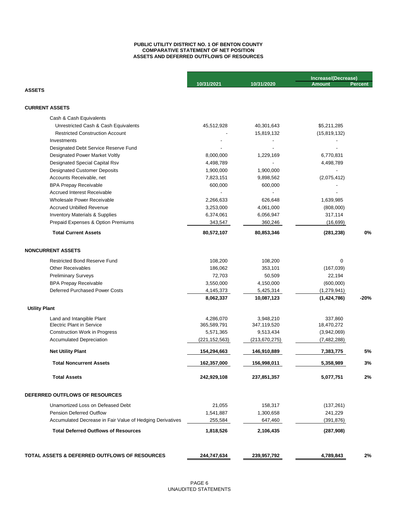### **PUBLIC UTILITY DISTRICT NO. 1 OF BENTON COUNTY COMPARATIVE STATEMENT OF NET POSITION ASSETS AND DEFERRED OUTFLOWS OF RESOURCES**

|                                                           |                 |                 | Increase/(Decrease) |         |
|-----------------------------------------------------------|-----------------|-----------------|---------------------|---------|
| <b>ASSETS</b>                                             | 10/31/2021      | 10/31/2020      | <b>Amount</b>       | Percent |
|                                                           |                 |                 |                     |         |
| <b>CURRENT ASSETS</b>                                     |                 |                 |                     |         |
| Cash & Cash Equivalents                                   |                 |                 |                     |         |
| Unrestricted Cash & Cash Equivalents                      | 45,512,928      | 40,301,643      | \$5,211,285         |         |
| <b>Restricted Construction Account</b>                    |                 | 15,819,132      | (15, 819, 132)      |         |
| Investments                                               |                 |                 |                     |         |
| Designated Debt Service Reserve Fund                      |                 |                 |                     |         |
| Designated Power Market Voltly                            | 8,000,000       | 1,229,169       | 6,770,831           |         |
| Designated Special Capital Rsv                            | 4,498,789       |                 | 4,498,789           |         |
| <b>Designated Customer Deposits</b>                       | 1,900,000       | 1,900,000       |                     |         |
| Accounts Receivable, net                                  | 7,823,151       | 9,898,562       | (2,075,412)         |         |
| <b>BPA Prepay Receivable</b>                              | 600,000         | 600,000         |                     |         |
| <b>Accrued Interest Receivable</b>                        |                 |                 |                     |         |
| Wholesale Power Receivable                                | 2,266,633       | 626,648         | 1,639,985           |         |
| <b>Accrued Unbilled Revenue</b>                           | 3,253,000       | 4,061,000       | (808,000)           |         |
| Inventory Materials & Supplies                            | 6,374,061       | 6,056,947       | 317,114             |         |
| Prepaid Expenses & Option Premiums                        | 343,547         | 360,246         | (16, 699)           |         |
| <b>Total Current Assets</b>                               | 80,572,107      | 80,853,346      | (281, 238)          | 0%      |
| <b>NONCURRENT ASSETS</b>                                  |                 |                 |                     |         |
| <b>Restricted Bond Reserve Fund</b>                       | 108,200         | 108,200         | 0                   |         |
| <b>Other Receivables</b>                                  | 186,062         | 353,101         | (167, 039)          |         |
| <b>Preliminary Surveys</b>                                | 72,703          | 50,509          | 22,194              |         |
| <b>BPA Prepay Receivable</b>                              | 3,550,000       | 4,150,000       | (600,000)           |         |
| <b>Deferred Purchased Power Costs</b>                     | 4,145,373       | 5,425,314       | (1, 279, 941)       |         |
|                                                           | 8,062,337       | 10,087,123      | (1,424,786)         | -20%    |
| <b>Utility Plant</b>                                      |                 |                 |                     |         |
| Land and Intangible Plant                                 | 4,286,070       | 3,948,210       | 337,860             |         |
| <b>Electric Plant in Service</b>                          | 365,589,791     | 347,119,520     | 18,470,272          |         |
| <b>Construction Work in Progress</b>                      | 5,571,365       | 9,513,434       | (3,942,069)         |         |
| <b>Accumulated Depreciation</b>                           | (221, 152, 563) | (213, 670, 275) | (7, 482, 288)       |         |
| <b>Net Utility Plant</b>                                  | 154,294,663     | 146,910,889     | 7,383,775           | 5%      |
| <b>Total Noncurrent Assets</b>                            | 162,357,000     | 156,998,011     | 5,358,989           | 3%      |
| <b>Total Assets</b>                                       | 242,929,108     | 237,851,357     | 5,077,751           | 2%      |
| DEFERRED OUTFLOWS OF RESOURCES                            |                 |                 |                     |         |
| Unamortized Loss on Defeased Debt                         | 21,055          | 158,317         | (137, 261)          |         |
| <b>Pension Deferred Outflow</b>                           | 1,541,887       | 1,300,658       | 241,229             |         |
| Accumulated Decrease in Fair Value of Hedging Derivatives | 255.584         | 647,460         | (391, 876)          |         |
| <b>Total Deferred Outflows of Resources</b>               | 1,818,526       | 2,106,435       | (287,908)           |         |
|                                                           |                 |                 |                     |         |
| TOTAL ASSETS & DEFERRED OUTFLOWS OF RESOURCES             | 244,747,634     | 239,957,792     | 4,789,843           | 2%      |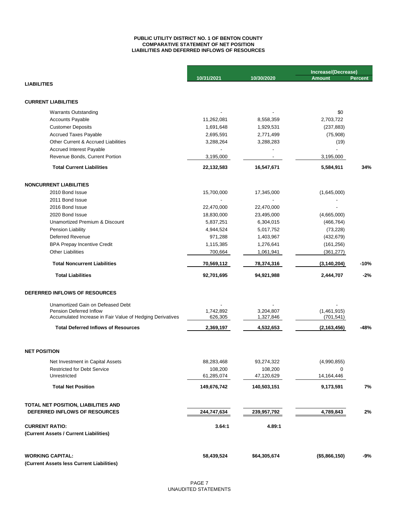### **LIABILITIES AND DEFERRED INFLOWS OF RESOURCES PUBLIC UTILITY DISTRICT NO. 1 OF BENTON COUNTY COMPARATIVE STATEMENT OF NET POSITION**

|                                                           |             |              | Increase/(Decrease) |         |
|-----------------------------------------------------------|-------------|--------------|---------------------|---------|
| <b>LIABILITIES</b>                                        | 10/31/2021  | 10/30/2020   | <b>Amount</b>       | Percent |
|                                                           |             |              |                     |         |
| <b>CURRENT LIABILITIES</b>                                |             |              |                     |         |
| <b>Warrants Outstanding</b>                               |             |              | \$0                 |         |
| <b>Accounts Payable</b>                                   | 11,262,081  | 8,558,359    | 2,703,722           |         |
| <b>Customer Deposits</b>                                  | 1,691,648   | 1,929,531    | (237, 883)          |         |
| <b>Accrued Taxes Payable</b>                              | 2,695,591   | 2,771,499    | (75,908)            |         |
| <b>Other Current &amp; Accrued Liabilities</b>            | 3,288,264   | 3,288,283    | (19)                |         |
| <b>Accrued Interest Payable</b>                           |             |              |                     |         |
| Revenue Bonds, Current Portion                            | 3,195,000   |              | 3,195,000           |         |
| <b>Total Current Liabilities</b>                          | 22,132,583  | 16,547,671   | 5,584,911           | 34%     |
| <b>NONCURRENT LIABILITIES</b>                             |             |              |                     |         |
| 2010 Bond Issue                                           | 15,700,000  | 17,345,000   | (1,645,000)         |         |
| 2011 Bond Issue                                           |             |              |                     |         |
| 2016 Bond Issue                                           | 22,470,000  | 22,470,000   |                     |         |
| 2020 Bond Issue                                           | 18,830,000  | 23,495,000   | (4,665,000)         |         |
| Unamortized Premium & Discount                            | 5,837,251   | 6,304,015    | (466, 764)          |         |
| Pension Liability                                         | 4,944,524   | 5,017,752    | (73, 228)           |         |
| <b>Deferred Revenue</b>                                   | 971,288     | 1,403,967    | (432, 679)          |         |
| <b>BPA Prepay Incentive Credit</b>                        | 1,115,385   | 1,276,641    | (161, 256)          |         |
| <b>Other Liabilities</b>                                  | 700,664     | 1,061,941    | (361, 277)          |         |
|                                                           |             |              |                     |         |
| <b>Total Noncurrent Liabilities</b>                       | 70,569,112  | 78,374,316   | (3, 140, 204)       | $-10%$  |
| <b>Total Liabilities</b>                                  | 92,701,695  | 94,921,988   | 2,444,707           | $-2%$   |
| DEFERRED INFLOWS OF RESOURCES                             |             |              |                     |         |
| Unamortized Gain on Defeased Debt                         |             |              |                     |         |
| Pension Deferred Inflow                                   | 1,742,892   | 3,204,807    | (1,461,915)         |         |
| Accumulated Increase in Fair Value of Hedging Derivatives | 626,305     | 1,327,846    | (701, 541)          |         |
| <b>Total Deferred Inflows of Resources</b>                | 2,369,197   | 4,532,653    | (2, 163, 456)       | -48%    |
|                                                           |             |              |                     |         |
| <b>NET POSITION</b>                                       |             |              |                     |         |
| Net Investment in Capital Assets                          | 88,283,468  | 93,274,322   | (4,990,855)         |         |
| <b>Restricted for Debt Service</b>                        | 108,200     | 108,200      | 0                   |         |
| Unrestricted                                              | 61,285,074  | 47,120,629   | 14,164,446          |         |
| <b>Total Net Position</b>                                 | 149,676,742 | 140,503,151  | 9,173,591           | 7%      |
| TOTAL NET POSITION, LIABILITIES AND                       |             |              |                     |         |
| DEFERRED INFLOWS OF RESOURCES                             | 244,747,634 | 239,957,792  | 4,789,843           | 2%      |
| <b>CURRENT RATIO:</b>                                     | 3.64:1      | 4.89:1       |                     |         |
| (Current Assets / Current Liabilities)                    |             |              |                     |         |
| <b>WORKING CAPITAL:</b>                                   | 58,439,524  | \$64,305,674 | (\$5,866,150)       | -9%     |
| (Current Assets less Current Liabilities)                 |             |              |                     |         |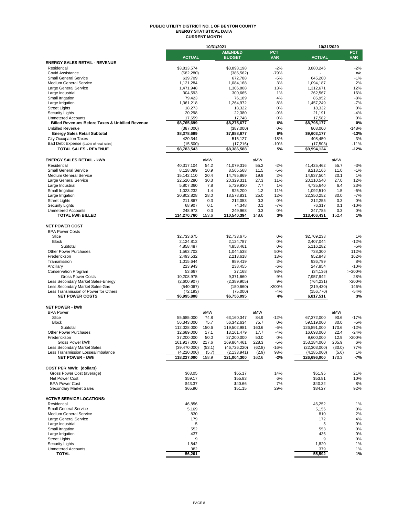#### **PUBLIC UTILITY DISTRICT NO. 1 OF BENTON COUNTY ENERGY STATISTICAL DATA CURRENT MONTH**

|                                                              |                            | 10/31/2021     |                              |                |                 | 10/31/2020                   |                |              |
|--------------------------------------------------------------|----------------------------|----------------|------------------------------|----------------|-----------------|------------------------------|----------------|--------------|
|                                                              |                            |                | <b>AMENDED</b>               |                | <b>PCT</b>      |                              |                | <b>PCT</b>   |
|                                                              | <b>ACTUAL</b>              |                | <b>BUDGET</b>                |                | <b>VAR</b>      | <b>ACTUAL</b>                |                | <b>VAR</b>   |
| <b>ENERGY SALES RETAIL - REVENUE</b>                         |                            |                |                              |                |                 |                              |                |              |
| Residential                                                  | \$3,813,574                |                | \$3,898,198                  |                | $-2%$           | 3,880,246                    |                | $-2%$        |
| <b>Covid Assistance</b><br><b>Small General Service</b>      | (\$82,280)<br>639,709      |                | (386, 562)<br>672,788        |                | $-79%$<br>$-5%$ | 645,200                      |                | n/a<br>$-1%$ |
| <b>Medium General Service</b>                                | 1,121,284                  |                | 1,084,168                    |                | 3%              | 1,094,187                    |                | 2%           |
| Large General Service                                        | 1,471,948                  |                | 1,306,808                    |                | 13%             | 1,312,671                    |                | 12%          |
| Large Industrial                                             | 304,593                    |                | 300,665                      |                | 1%              | 262,567                      |                | 16%          |
| Small Irrigation                                             | 79,423                     |                | 76,189                       |                | 4%              | 85,952                       |                | $-8%$        |
| Large Irrigation                                             | 1,361,218                  |                | 1,264,972                    |                | 8%              | 1,457,249                    |                | $-7%$        |
| <b>Street Lights</b>                                         | 18,273                     |                | 18,322                       |                | 0%              | 18,332                       |                | 0%           |
| <b>Security Lights</b>                                       | 20,298                     |                | 22,380                       |                | $-9%$           | 21,191                       |                | $-4%$        |
| <b>Unmetered Accounts</b>                                    | 17,659                     |                | 17,748                       |                | 0%              | 17,582                       |                | 0%           |
| <b>Billed Revenues Before Taxes &amp; Unbilled Revenue</b>   | \$8,765,699                |                | \$8,275,677                  |                | 6%              | \$8,795,177                  |                | 0%           |
| <b>Unbilled Revenue</b>                                      | (387,000)                  |                | (387,000)                    |                | 0%              | 808,000                      |                | $-148%$      |
| <b>Energy Sales Retail Subtotal</b>                          | \$8,378,699                |                | \$7,888,677                  |                | 6%              | \$9,603,177                  |                | $-13%$       |
| <b>City Occupation Taxes</b>                                 | 420,344                    |                | 515,127                      |                | $-18%$          | 408.450                      |                | 3%           |
| Bad Debt Expense (0.32% of retail sales)                     | (15,500)                   |                | (17,216)                     |                | $-10%$          | (17, 503)                    |                | $-11%$       |
| TOTAL SALES - REVENUE                                        | \$8,783,543                |                | \$8,386,588                  |                | 5%              | \$9,994,124                  |                | $-12%$       |
|                                                              |                            |                |                              |                |                 |                              |                |              |
| <b>ENERGY SALES RETAIL - kWh</b>                             |                            | aMW            |                              | aMW            |                 |                              | aMW            |              |
| Residential                                                  | 40,317,104                 | 54.2           | 41,079,316                   | 55.2           | $-2%$           | 41,425,462                   | 55.7           | $-3%$        |
| <b>Small General Service</b>                                 | 8,128,099                  | 10.9           | 8,565,568                    | 11.5           | $-5%$           | 8,218,166                    | 11.0           | $-1%$        |
| <b>Medium General Service</b>                                | 15,142,110                 | 20.4           | 14,795,869                   | 19.9           | 2%              | 14,937,504                   | 20.1           | 1%           |
| Large General Service                                        | 22,520,280                 | 30.3           | 20,329,311                   | 27.3           | 11%             | 20,110,540                   | 27.0           | 12%          |
| Large Industrial                                             | 5,807,360                  | 7.8            | 5,729,930                    | 7.7            | 1%              | 4,735,640                    | 6.4            | 23%          |
| Small Irrigation                                             | 1.023.232                  | 1.4            | 925,200                      | 1.2            | 11%             | 1.092.510                    | 1.5            | $-6%$        |
| Large Irrigation                                             | 20,802,828                 | 28.0           | 18,578,831                   | 25.0           | 12%             | 22,350,252                   | 30.0           | $-7%$        |
| <b>Street Lights</b>                                         | 211,867                    | 0.3            | 212,053                      | 0.3            | 0%              | 212,255                      | 0.3            | 0%           |
| <b>Security Lights</b>                                       | 68,907                     | 0.1            | 74,348                       | 0.1            | $-7%$           | 76,317                       | 0.1            | $-10%$       |
| <b>Unmetered Accounts</b><br><b>TOTAL kWh BILLED</b>         | 248,973<br>114,270,760     | 0.3<br>153.6   | 249,968                      | 0.3            | 0%<br>3%        | 247,785                      | 0.3            | 0%<br>1%     |
|                                                              |                            |                | 110,540,394                  | 148.6          |                 | 113,406,431                  | 152.4          |              |
|                                                              |                            |                |                              |                |                 |                              |                |              |
| <b>NET POWER COST</b><br><b>BPA Power Costs</b>              |                            |                |                              |                |                 |                              |                |              |
| Slice                                                        | \$2,733,675                |                | \$2,733,675                  |                | 0%              | \$2,709,238                  |                | 1%           |
| <b>Block</b>                                                 | 2,124,812                  |                | 2,124,787                    |                | 0%              | 2,407,044                    |                | $-12%$       |
| Subtotal                                                     | 4,858,487                  |                | 4,858,461                    |                | 0%              | 5,116,282                    |                | $-5%$        |
| <b>Other Power Purchases</b>                                 | 1,563,702                  |                | 1,044,538                    |                | 50%             | 738,300                      |                | 112%         |
| Frederickson                                                 | 2,493,532                  |                | 2,213,618                    |                | 13%             | 952,843                      |                | 162%         |
| Transmission                                                 | 1,015,644                  |                | 989,419                      |                | 3%              | 936,799                      |                | 8%           |
| Ancillary                                                    | 223,943                    |                | 238,455                      |                | $-6%$           | 247,854                      |                | $-10%$       |
| <b>Conservation Program</b>                                  | 53,667                     |                | 27,168                       |                | 98%             | (34, 136)                    |                | >200%        |
| <b>Gross Power Costs</b>                                     | 10,208,975                 |                | 9,371,660                    |                | 9%              | 7,957,942                    |                | 28%          |
| Less Secondary Market Sales-Energy                           | (2,600,907)                |                | (2,389,905)                  |                | 9%              | (764, 231)                   |                | >200%        |
| Less Secondary Market Sales-Gas                              | (540,067)                  |                | (150,660)                    |                | >200%           | (219, 430)                   |                | 146%         |
| Less Transmission of Power for Others                        | (72, 193)                  |                | (75,000)                     |                | $-4%$           | (156, 770)                   |                | $-54%$       |
| <b>NET POWER COSTS</b>                                       | \$6,995,808                |                | \$6,756,095                  |                | 4%              | 6,817,511                    |                | 3%           |
|                                                              |                            |                |                              |                |                 |                              |                |              |
| <b>NET POWER - kWh</b>                                       |                            |                |                              |                |                 |                              |                |              |
| <b>BPA Power</b>                                             |                            | aMW            |                              | aMW            |                 |                              | aMW            |              |
| Slice                                                        | 55,685,000                 | 74.8           | 63,160,347                   | 84.9           | $-12%$          | 67,372,000                   | 90.6           | $-17%$       |
| <b>Block</b>                                                 | 56,343,000                 | 75.7           | 56,342,634                   | 75.7           | 0%              | 59,519,000                   | 80.0           | $-5%$        |
| Subtotal                                                     | 112,028,000                | 150.6          | 119,502,981                  | 160.6          | $-6%$           | 126,891,000                  | 170.6          | $-12%$       |
| Other Power Purchases                                        | 12,689,000                 | 17.1           | 13,161,479                   | 17.7           | $-4%$           | 16,693,000                   | 22.4           | $-24%$       |
| Frederickson                                                 | 37.200.000                 | 50.0           | 37.200.000                   | 50.0           | 0%              | 9.600.000                    | 12.9           | >200%        |
| Gross Power kWh                                              | 161,917,000                | 217.6          | 169,864,461                  | 228.3          | $-5%$           | 153,184,000                  | 205.9          | 6%           |
| Less Secondary Market Sales                                  | (39,470,000)               | (53.1)         | (46, 726, 220)               | (62.8)         | $-16%$          | (22, 303, 000)               | (30.0)         | 77%          |
| Less Transmission Losses/Imbalance<br><b>NET POWER - kWh</b> | (4,220,000)<br>118,227,000 | (5.7)<br>158.9 | (2, 133, 941)<br>121,004,300 | (2.9)<br>162.6 | 98%<br>$-2\%$   | (4, 185, 000)<br>126,696,000 | (5.6)<br>170.3 | 1%<br>$-7%$  |
|                                                              |                            |                |                              |                |                 |                              |                |              |
|                                                              |                            |                |                              |                |                 |                              |                |              |
| <b>COST PER MWh: (dollars)</b>                               |                            |                |                              |                |                 |                              |                |              |
| Gross Power Cost (average)                                   | \$63.05                    |                | \$55.17                      |                | 14%             | \$51.95                      |                | 21%          |
| Net Power Cost                                               | \$59.17                    |                | \$55.83                      |                | 6%              | \$53.81                      |                | 10%          |
| <b>BPA Power Cost</b><br><b>Secondary Market Sales</b>       | \$43.37<br>\$65.90         |                | \$40.66<br>\$51.15           |                | 7%<br>29%       | \$40.32<br>\$34.27           |                | 8%           |
|                                                              |                            |                |                              |                |                 |                              |                | 92%          |
| <b>ACTIVE SERVICE LOCATIONS:</b>                             |                            |                |                              |                |                 |                              |                |              |
| Residential                                                  | 46,856                     |                |                              |                |                 | 46,252                       |                | 1%           |
| <b>Small General Service</b>                                 | 5,169                      |                |                              |                |                 | 5,156                        |                | 0%           |
| <b>Medium General Service</b>                                | 830                        |                |                              |                |                 | 810                          |                | 2%           |
| Large General Service                                        | 179                        |                |                              |                |                 | 172                          |                | 4%           |
| Large Industrial                                             | 5                          |                |                              |                |                 | 5                            |                | 0%           |
| Small Irrigation                                             | 552                        |                |                              |                |                 | 553                          |                | 0%           |
| Large Irrigation                                             | 437                        |                |                              |                |                 | 436                          |                | 0%           |
| <b>Street Lights</b>                                         | 9                          |                |                              |                |                 | 9                            |                | 0%           |
| <b>Security Lights</b>                                       | 1,842                      |                |                              |                |                 | 1,820                        |                | 1%           |
| <b>Unmetered Accounts</b>                                    | 382                        |                |                              |                |                 | 379                          |                | 1%           |
| <b>TOTAL</b>                                                 | 56,261                     |                |                              |                |                 | 55,592                       |                | 1%           |
|                                                              |                            |                |                              |                |                 |                              |                |              |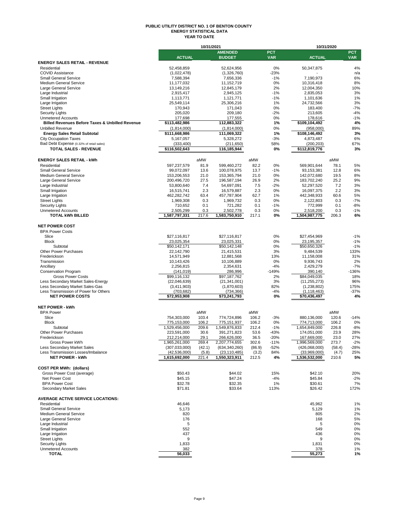#### **PUBLIC UTILITY DISTRICT NO. 1 OF BENTON COUNTY ENERGY STATISTICAL DATA YEAR TO DATE**

|                                                              |                            | 10/31/2021   |                                 |              |                          | 10/31/2020                 |                |                          |
|--------------------------------------------------------------|----------------------------|--------------|---------------------------------|--------------|--------------------------|----------------------------|----------------|--------------------------|
|                                                              | <b>ACTUAL</b>              |              | <b>AMENDED</b><br><b>BUDGET</b> |              | <b>PCT</b><br><b>VAR</b> | <b>ACTUAL</b>              |                | <b>PCT</b><br><b>VAR</b> |
| <b>ENERGY SALES RETAIL - REVENUE</b>                         |                            |              |                                 |              |                          |                            |                |                          |
| Residential                                                  | 52,458,859                 |              | 52,624,956                      |              | 0%                       | 50,347,875                 |                | 4%                       |
| <b>COVID Assistance</b>                                      | (1,022,478)                |              | (1,326,760)                     |              | $-23%$                   |                            |                | n/a                      |
| <b>Small General Service</b>                                 | 7,588,394                  |              | 7,656,336                       |              | $-1%$                    | 7,190,973                  |                | 6%                       |
| <b>Medium General Service</b>                                | 11,177,032                 |              | 11.152.719                      |              | 0%                       | 10,316,418                 |                | 8%                       |
| Large General Service                                        | 13,149,216                 |              | 12,845,179                      |              | 2%                       | 12,004,350                 |                | 10%                      |
| Large Industrial                                             | 2,915,417                  |              | 2,945,125                       |              | $-1%$<br>$-1%$           | 2.835.053                  |                | 3%<br>1%                 |
| Small Irrigation<br>Large Irrigation                         | 1,113,771<br>25,549,114    |              | 1,121,771<br>25,306,216         |              | 1%                       | 1,101,636<br>24,732,566    |                | 3%                       |
| <b>Street Lights</b>                                         | 170,943                    |              | 171,043                         |              | 0%                       | 183,400                    |                | $-7%$                    |
| <b>Security Lights</b>                                       | 205,020                    |              | 209,180                         |              | $-2%$                    | 213,605                    |                | $-4%$                    |
| <b>Unmetered Accounts</b>                                    | 177,698                    |              | 177,555                         |              | 0%                       | 178,616                    |                | $-1%$                    |
| <b>Billed Revenues Before Taxes &amp; Unbilled Revenue</b>   | \$113,482,986              |              | 112,883,322                     |              | 1%                       | \$109,104,492              |                | 4%                       |
| <b>Unbilled Revenue</b>                                      | (1,814,000)                |              | (1,814,000)                     |              | 0%                       | (958,000)                  |                | 89%                      |
| <b>Energy Sales Retail Subtotal</b>                          | \$111,668,986              |              | 111,069,322                     |              | 1%                       | \$108,146,492              |                | 3%                       |
| <b>City Occupation Taxes</b>                                 | 5,167,057                  |              | 5,328,272                       |              | $-3%$                    | 4,873,487                  |                | 6%                       |
| Bad Debt Expense (0.32% of retail sales)                     | (333, 400)                 |              | (211, 650)                      |              | 58%                      | (200, 203)                 |                | 67%                      |
| <b>TOTAL SALES - REVENUE</b>                                 | \$116,502,643              |              | 116,185,944                     |              | 0%                       | \$112,819,776              |                | 3%                       |
|                                                              |                            |              |                                 |              |                          |                            |                |                          |
| <b>ENERGY SALES RETAIL - kWh</b><br>Residential              |                            | aMW<br>81.9  |                                 | aMW<br>82.2  | 0%                       |                            | aMW<br>78.1    | 5%                       |
| <b>Small General Service</b>                                 | 597,237,579<br>99,072,097  | 13.6         | 599,460,272<br>100,078,975      | 13.7         | $-1%$                    | 569,901,644<br>93,153,381  | 12.8           | 6%                       |
| <b>Medium General Service</b>                                | 153,206,553                | 21.0         | 153,365,794                     | 21.0         | 0%                       | 142,072,680                | 19.5           | 8%                       |
| Large General Service                                        | 200,496,720                | 27.5         | 196,587,194                     | 26.9         | 2%                       | 183,702,240                | 25.2           | 9%                       |
| Large Industrial                                             | 53,800,640                 | 7.4          | 54,697,091                      | 7.5          | $-2%$                    | 52,297,520                 | 7.2            | 3%                       |
| Small Irrigation                                             | 16,515,741                 | 2.3          | 16,579,887                      | 2.3          | 0%                       | 16,097,375                 | 2.2            | 3%                       |
| Large Irrigation                                             | 462,282,742                | 63.4         | 457,787,904                     | 62.7         | 1%                       | 442,348,933                | 60.6           | 5%                       |
| <b>Street Lights</b>                                         | 1,969,308                  | 0.3          | 1,969,732                       | 0.3          | 0%                       | 2,122,803                  | 0.3            | $-7%$                    |
| <b>Security Lights</b>                                       | 710,652                    | 0.1          | 721,282                         | 0.1          | $-1%$                    | 772,999                    | 0.1            | $-8%$                    |
| <b>Unmetered Accounts</b><br><b>TOTAL kWh BILLED</b>         | 2,505,299<br>1,587,797,331 | 0.3<br>217.6 | 2,502,778<br>1,583,750,910      | 0.3<br>217.1 | 0%<br>0%                 | 2,518,200<br>1,504,987,775 | 0.3<br>206.3   | $-1%$<br>6%              |
|                                                              |                            |              |                                 |              |                          |                            |                |                          |
| <b>NET POWER COST</b>                                        |                            |              |                                 |              |                          |                            |                |                          |
| <b>BPA Power Costs</b>                                       |                            |              |                                 |              |                          |                            |                |                          |
| Slice                                                        | \$27,116,817               |              | \$27,116,817                    |              | 0%                       | \$27,454,969               |                | $-1%$                    |
| <b>Block</b>                                                 | 23,025,354                 |              | 23,025,331                      |              | 0%                       | 23,195,357                 |                | $-1%$                    |
| Subtotal                                                     | \$50,142,171               |              | \$50,142,148                    |              | 0%                       | \$50,650,326               |                | $-1%$                    |
| <b>Other Power Purchases</b>                                 | 22,142,790                 |              | 21,415,531                      |              | 3%                       | 9,484,539                  |                | 133%                     |
| Frederickson                                                 | 14,571,949                 |              | 12,881,568                      |              | 13%                      | 11,158,008                 |                | 31%                      |
| Transmission<br>Ancillary                                    | 10,143,426<br>2,256,815    |              | 10,106,889<br>2,354,631         |              | 0%<br>$-4%$              | 9,936,743<br>2,429,279     |                | 2%<br>$-7%$              |
| <b>Conservation Program</b>                                  | (141, 019)                 |              | 286,996                         |              | $-149%$                  | 390,140                    |                | $-136%$                  |
| <b>Gross Power Costs</b>                                     | \$99,116,132               |              | \$97,187,762                    |              | 2%                       | \$84,049,035               |                | 18%                      |
| Less Secondary Market Sales-Energy                           | (22,046,639)               |              | (21, 341, 001)                  |              | 3%                       | (11, 255, 273)             |                | 96%                      |
| Less Secondary Market Sales-Gas                              | (3,411,903)                |              | (1,870,603)                     |              | 82%                      | (1,238,802)                |                | 175%                     |
| Less Transmission of Power for Others                        | (703, 682)                 |              | (734, 366)                      |              | $-4%$                    | (1, 118, 463)              |                | $-37%$                   |
| <b>NET POWER COSTS</b>                                       | \$72,953,908               |              | \$73,241,793                    |              | 0%                       | \$70,436,497               |                | 4%                       |
|                                                              |                            |              |                                 |              |                          |                            |                |                          |
| <b>NET POWER - kWh</b>                                       |                            |              |                                 |              |                          |                            |                |                          |
| <b>BPA Power</b><br>Slice                                    | 754,303,000                | aMW<br>103.4 | 774,724,896                     | aMW<br>106.2 | $-3%$                    | 880,136,000                | aMW<br>120.6   | $-14%$                   |
| <b>Block</b>                                                 | 775,153,000                | 106.2        | 775,151,937                     | 106.2        | 0%                       | 774,713,000                | 106.2          | 0%                       |
| Subtotal                                                     | 1,529,456,000              | 209.6        | 1,549,876,833                   | 212.4        | $-1%$                    | 1,654,849,000              | 226.8          | $-8%$                    |
| Other Power Purchases                                        | 223,591,000                | 30.6         | 391,271,823                     | 53.6         | $-43%$                   | 174,051,000                | 23.9           | 28%                      |
| Frederickson                                                 | 212.214.000                | 29.1         | 266.626.000                     | 36.5         | $-20%$                   | 167.669.000                | 23.0           | 27%                      |
| Gross Power kWh                                              | 1,965,261,000              | 269.4        | 2,207,774,655                   | 302.6        | $-11%$                   | 1,996,569,000              | 273.7          | $-2%$                    |
| Less Secondary Market Sales                                  | (307, 033, 000)            | (42.1)       | (634, 340, 260)                 | (86.9)       | -52%                     | (426,068,000)              | (58.4)         | -28%                     |
| Less Transmission Losses/Imbalance<br><b>NET POWER - kWh</b> | (42,536,000)               | (5.8)        | (23, 110, 485)                  | (3.2)        | 84%<br>4%                | (33,969,000)               | (4.7)<br>210.6 | 25%<br>5%                |
|                                                              | 1,615,692,000              | 221.4        | 1,550,323,911                   | 212.5        |                          | 1,536,532,000              |                |                          |
| <b>COST PER MWh: (dollars)</b>                               |                            |              |                                 |              |                          |                            |                |                          |
| Gross Power Cost (average)                                   | \$50.43                    |              | \$44.02                         |              | 15%                      | \$42.10                    |                | 20%                      |
| Net Power Cost                                               | \$45.15                    |              | \$47.24                         |              | $-4%$                    | \$45.84                    |                | $-2%$                    |
| <b>BPA Power Cost</b>                                        | \$32.78                    |              | \$32.35                         |              | 1%                       | \$30.61                    |                | 7%                       |
| Secondary Market Sales                                       | \$71.81                    |              | \$33.64                         |              | 113%                     | \$26.42                    |                | 172%                     |
|                                                              |                            |              |                                 |              |                          |                            |                |                          |
| <b>AVERAGE ACTIVE SERVICE LOCATIONS:</b>                     |                            |              |                                 |              |                          |                            |                |                          |
| Residential                                                  | 46,646                     |              |                                 |              |                          | 45,962                     |                | 1%                       |
| <b>Small General Service</b>                                 | 5,173                      |              |                                 |              |                          | 5,129                      |                | 1%                       |
| <b>Medium General Service</b><br>Large General Service       | 820                        |              |                                 |              |                          | 805                        |                | 2%                       |
| Large Industrial                                             | 176<br>5                   |              |                                 |              |                          | 168<br>5                   |                | 5%<br>0%                 |
| Small Irrigation                                             | 552                        |              |                                 |              |                          | 549                        |                | 0%                       |
| Large Irrigation                                             | 437                        |              |                                 |              |                          | 436                        |                | 0%                       |
| <b>Street Lights</b>                                         | 9                          |              |                                 |              |                          | 9                          |                | 0%                       |
| <b>Security Lights</b>                                       | 1,833                      |              |                                 |              |                          | 1,831                      |                | 0%                       |
| <b>Unmetered Accounts</b>                                    | 382                        |              |                                 |              |                          | 378                        |                | 1%                       |
| <b>TOTAL</b>                                                 | 56,033                     |              |                                 |              |                          | 55,273                     |                | 1%                       |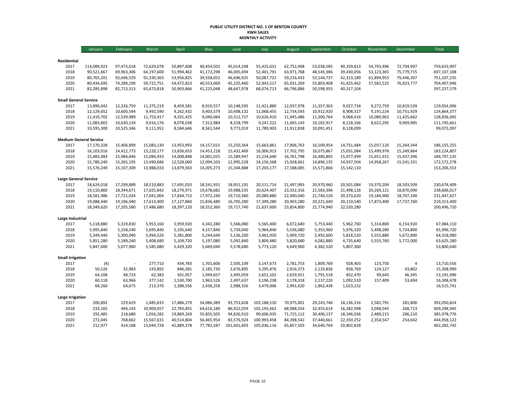#### **PUBLIC UTILITY DISTRICT NO. 1 OF BENTON COUNTY KWH SALES MONTHLY ACTIVITY**

|                                      | January                   | February                 | March                    | April                    | May                      | June                     | July                     | August                   | September                | October                  | November                 | December                 | <b>Total</b>               |
|--------------------------------------|---------------------------|--------------------------|--------------------------|--------------------------|--------------------------|--------------------------|--------------------------|--------------------------|--------------------------|--------------------------|--------------------------|--------------------------|----------------------------|
|                                      |                           |                          |                          |                          |                          |                          |                          |                          |                          |                          |                          |                          |                            |
| Residential                          |                           |                          |                          |                          |                          |                          |                          |                          |                          |                          |                          |                          |                            |
| 2017<br>2018                         | 114,089,923<br>90,521,667 | 97,473,618<br>69,963,306 | 72,629,078<br>64,197,600 | 50,897,608<br>51,994,462 | 40,454,502<br>41,172,298 | 45,014,248<br>46,005,694 | 55,425,631<br>52,401,791 | 62,752,408<br>63,971,768 | 53,038,585<br>48,545,386 | 40,359,813<br>39,430,056 | 54,793,496<br>53,123,365 | 72,704,997<br>75,779,715 | 759,633,907<br>697,107,108 |
| 2019                                 | 80,765,201                | 92,696,529               | 91,330,363               | 53,956,825               | 39,558,052               | 46,696,925               | 50,087,721               | 59,216,433               | 53,144,737               | 42,313,189               | 61,894,953               | 79,446,307               | 751,107,235                |
| 2020                                 | 80,434,695                | 74,289,190               | 59,722,751               | 54,472,823               | 40,553,069               | 45,225,460               | 52,943,517               | 65,031,269               | 55,803,408               | 41,425,462               | 57,582,525               | 76,923,777               | 704,407,946                |
| 2021                                 | 82,285,898                | 82,713,313               | 65,673,818               | 50,903,866               | 41,225,048               | 48,647,978               | 68,074,713               | 66,796,886               | 50,598,955               | 40,317,104               |                          |                          | 597,237,579                |
|                                      |                           |                          |                          |                          |                          |                          |                          |                          |                          |                          |                          |                          |                            |
| <b>Small General Service</b><br>2017 | 13,896,042                | 12,326,759               | 11,375,219               | 8,459,581                | 8,910,557                | 10,148,595               | 11,421,880               | 12,037,978               | 11,357,363               | 9,027,734                | 9,272,759                | 10,819,539               | 129,054,006                |
| 2018                                 | 12,129,652                | 10,600,544               | 9,492,590                | 9,262,432                | 9,403,579                | 10,408,132               | 11,068,455               | 12,734,593               | 10,912,920               | 8,908,327                | 9,191,224                | 10,751,929               | 124,864,377                |
| 2019                                 | 11,410,702                | 12,539,989               | 11,753,417               | 9,331,425                | 9,040,084                | 10,312,727               | 10,626,410               | 11,945,486               | 11,300,764               | 9,068,416                | 10,080,963               | 11,425,662               | 128,836,045                |
| 2020                                 | 11,083,802                | 10,630,134               | 9,016,176                | 8,078,038                | 7,312,984                | 8,318,799                | 9,247,222                | 11,065,143               | 10,182,917               | 8,218,166                | 8,622,295                | 9,969,985                | 111,745,661                |
| 2021                                 | 10,595,300                | 10,525,346               | 9,111,951                | 8,584,646                | 8,561,544                | 9,771,019                | 11,789,903               | 11,912,838               | 10,091,451               | 8,128,099                |                          |                          | 99,072,097                 |
|                                      |                           |                          |                          |                          |                          |                          |                          |                          |                          |                          |                          |                          |                            |
| <b>Medium General Service</b>        |                           |                          |                          |                          |                          |                          |                          |                          |                          |                          |                          |                          |                            |
| 2017                                 | 17,170,328                | 15,406,899               | 15,083,130               | 13,953,993               | 14,157,015               | 15,250,364               | 15,663,861               | 17,906,763               | 16,509,954               | 14,751,484               | 15,037,120               | 15,264,344               | 186, 155, 255              |
| 2018                                 | 16,103,016                | 14,412,773               | 13,220,177               | 13,836,653               | 14,453,218               | 15,432,469               | 16,006,913               | 17,702,795               | 16,075,867               | 15,031,084               | 15,499,978               | 15,349,864               | 183,124,807                |
| 2019                                 | 15,483,483                | 15,984,846               | 15,084,933               | 14,008,848               | 14,001,025               | 15,589,947               | 15,234,640               | 16,761,798               | 16,480,805               | 15,077,499               | 15,651,915               | 15,437,396               | 184,797,135                |
| 2020                                 | 15,780,240                | 15,265,195               | 13,490,686               | 12,528,060               | 12,094,103               | 12,995,528               | 14,156,568               | 15,928,661               | 14,896,135               | 14,937,504               | 14,958,267               | 15,541,331               | 172,572,278                |
| 2021                                 | 15,576,249                | 15,107,309               | 13,988,033               | 13,879,563               | 14,205,273               | 15,344,888               | 17,203,177               | 17,188,085               | 15,571,866               | 15,142,110               |                          |                          | 153,206,553                |
| <b>Large General Service</b>         |                           |                          |                          |                          |                          |                          |                          |                          |                          |                          |                          |                          |                            |
| 2017                                 | 18,624,018                | 17,299,889               | 18,510,883               | 17,691,033               | 18,241,931               | 18,951,191               | 20,511,714               | 21,497,993               | 20,970,960               | 20,501,084               | 19,370,204               | 18,503,509               | 230,674,409                |
| 2018                                 | 19,110,860                | 18,344,671               | 17,025,842               | 18,279,971               | 19,678,682               | 19,988,535               | 20,624,407               | 23,332,316               | 21,583,396               | 21,498,126               | 20,269,121               | 18,870,090               | 238,606,017                |
| 2019                                 | 18,581,986                | 17,721,024               | 17,041,004               | 17,834,713               | 17,972,240               | 19,710,360               | 20,089,880               | 22,490,040               | 21,740,520               | 20,373,620               | 19,184,900               | 18,707,340               | 231,447,627                |
| 2020                                 | 19,088,440                | 19,196,040               | 17,613,400               | 17,127,860               | 15,836,480               | 16,705,280               | 17,399,280               | 20,403,280               | 20,221,640               | 20,110,540               | 17,873,400               | 17,737,760               | 219,313,400                |
| 2021                                 | 18,349,620                | 17,205,580               | 17,486,680               | 18,397,120               | 18,552,360               | 19,717,740               | 21,637,600               | 23,854,800               | 22,774,940               | 22,520,280               |                          |                          | 200,496,720                |
| Large Industrial                     |                           |                          |                          |                          |                          |                          |                          |                          |                          |                          |                          |                          |                            |
| 2017                                 | 5,118,880                 | 5,319,830                | 5,953,160                | 5,959,920                | 4,342,280                | 5,566,080                | 5,565,400                | 6,072,640                | 5,753,440                | 5,962,760                | 5,314,800                | 6,154,920                | 67,084,110                 |
| 2018                                 | 5,995,840                 | 5,158,240                | 5,695,840                | 5,195,640                | 4,157,840                | 5,739,040                | 5,964,840                | 5,536,080                | 5,353,960                | 5,976,320                | 5,498,280                | 5,724,800                | 65,996,720                 |
| 2019                                 | 5,349,440                 | 5,300,040                | 5,994,520                | 5,381,800                | 5,244,640                | 5,136,200                | 3,461,920                | 5,909,720                | 5,492,600                | 5,818,520                | 5,555,880                | 5,672,800                | 64,318,080                 |
| 2020                                 | 5,851,280                 | 5,189,240                | 5,408,680                | 5,109,720                | 5,197,080                | 5,092,840                | 5,809,480                | 5,820,680                | 4,082,880                | 4,735,640                | 5,555,760                | 5,772,000                | 63,625,280                 |
| 2021                                 | 5,847,600                 | 5,077,960                | 5,585,080                | 5,429,320                | 5,669,040                | 5,578,680                | 5,773,120                | 4,649,960                | 4,382,520                | 5,807,360                |                          |                          | 53,800,640                 |
| <b>Small Irrigation</b>              |                           |                          |                          |                          |                          |                          |                          |                          |                          |                          |                          |                          |                            |
| 2017                                 | (4)                       |                          | 277,710                  | 434,783                  | 1,701,606                | 2,505,109                | 3,147,673                | 2,781,753                | 1,809,769                | 928,403                  | 123,750                  | 4                        | 13,710,556                 |
| 2018                                 | 50,526                    | 32,983                   | 143,892                  | 846,581                  | 2,185,730                | 2,676,895                | 3,295,476                | 2,916,373                | 2,133,836                | 858,769                  | 124,127                  | 43,802                   | 15,308,990                 |
| 2019                                 | 64,108                    | 48,733                   | 62,383                   | 501,057                  | 1,949,657                | 2,495,059                | 2,651,102                | 2,629,921                | 1,791,518                | 852,470                  | 99,643                   | 46,345                   | 13,191,996                 |
| 2020                                 | 60,118                    | 63,966                   | 377,142                  | 1,530,700                | 1,963,526                | 2,497,637                | 3,196,238                | 3,178,318                | 2,137,220                | 1,092,510                | 157,409                  | 53,694                   | 16,308,478                 |
| 2021                                 | 68,260                    | 64,675                   | 213,370                  | 1,388,556                | 2,436,258                | 2,988,326                | 3,479,006                | 2,991,620                | 1,862,438                | 1,023,232                |                          |                          | 16,515,741                 |
| <b>Large Irrigation</b>              |                           |                          |                          |                          |                          |                          |                          |                          |                          |                          |                          |                          |                            |
| 2017                                 | 200,892                   | 229,629                  | 1,485,633                | 17,886,279               | 54,086,389               | 93,753,828               | 103,188,520              | 70,975,001               | 29,243,746               | 18,136,316               | 2,582,791                | 281,800                  | 392,050,824                |
| 2018                                 | 233,165                   | 494,143                  | 10,909,657               | 22,783,855               | 64,616,180               | 86,922,059               | 102,195,462              | 68,988,554               | 32,455,614               | 16,382,998               | 3,048,545                | 268,713                  | 409,298,945                |
| 2019                                 | 292,485                   | 218,680                  | 1,056,282                | 19,869,269               | 55,855,505               | 94,826,910               | 90,606,935               | 71,725,112               | 30,406,137               | 18,346,036               | 2,489,215                | 286,210                  | 385,978,776                |
| 2020                                 | 272,045                   | 768,662                  | 15,567,631               | 40,514,804               | 56,465,954               | 83,576,924               | 100,993,458              | 84,398,542               | 37,440,661               | 22,350,252               | 2,354,547                | 254,642                  | 444,958,122                |
| 2021                                 | 212,977                   | 414,168                  | 13,044,728               | 42,889,378               | 77,782,587               | 101,601,693              | 105,036,116              | 65,857,503               | 34,640,764               | 20,802,828               |                          |                          | 462,282,742                |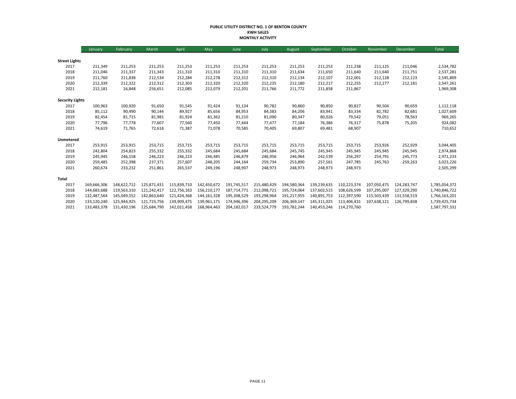#### **PUBLIC UTILITY DISTRICT NO. 1 OF BENTON COUNTY KWH SALES MONTHLY ACTIVITY**

|                        | January     | February    | March       | April       | May         | June        | July        | August      | September   | October     | November    | December    | Total         |
|------------------------|-------------|-------------|-------------|-------------|-------------|-------------|-------------|-------------|-------------|-------------|-------------|-------------|---------------|
|                        |             |             |             |             |             |             |             |             |             |             |             |             |               |
| <b>Street Lights</b>   |             |             |             |             |             |             |             |             |             |             |             |             |               |
| 2017                   | 211,349     | 211,253     | 211,253     | 211,253     | 211,253     | 211,253     | 211,253     | 211,253     | 211,253     | 211,238     | 211,125     | 211,046     | 2,534,782     |
| 2018                   | 211,046     | 211,337     | 211,343     | 211,310     | 211,310     | 211,310     | 211,310     | 211,634     | 211,650     | 211,640     | 211,640     | 211,751     | 2,537,281     |
| 2019                   | 211,760     | 211,838     | 212,534     | 212,284     | 212,278     | 212,312     | 212,310     | 212,134     | 212,107     | 212,001     | 212,128     | 212,123     | 2,545,809     |
| 2020                   | 212,339     | 212,322     | 212,312     | 212,303     | 212,320     | 212,320     | 212,235     | 212,180     | 212,217     | 212,255     | 212,277     | 212,181     | 2,547,261     |
| 2021                   | 212,181     | 16,848      | 256,651     | 212,085     | 212,079     | 212,201     | 211,766     | 211,772     | 211,858     | 211,867     |             |             | 1,969,308     |
| <b>Security Lights</b> |             |             |             |             |             |             |             |             |             |             |             |             |               |
| 2017                   | 100,963     | 100,920     | 91,650      | 91,545      | 91,424      | 91,134      | 90,782      | 90,860      | 90,850      | 90,827      | 90,504      | 90,659      | 1,112,118     |
| 2018                   | 85,112      | 90,490      | 90,144      | 89,927      | 85,656      | 84,953      | 84,383      | 84,206      | 83,941      | 83,334      | 82,782      | 82,681      | 1,027,609     |
| 2019                   | 82,454      | 81,715      | 81,981      | 81,924      | 81,362      | 81,210      | 81,090      | 80,347      | 80,026      | 79,542      | 79,051      | 78,563      | 969,265       |
| 2020                   | 77,796      | 77,778      | 77,607      | 77,560      | 77,450      | 77,444      | 77,477      | 77,184      | 76,386      | 76,317      | 75,878      | 75,205      | 924,082       |
| 2021                   | 74,619      | 71,765      | 72,618      | 71,387      | 71,078      | 70,585      | 70,405      | 69,807      | 69,481      | 68,907      |             |             | 710,652       |
| Unmetered              |             |             |             |             |             |             |             |             |             |             |             |             |               |
| 2017                   | 253,915     | 253,915     | 253,715     | 253,715     | 253,715     | 253,715     | 253,715     | 253,715     | 253,715     | 253,715     | 253,926     | 252,929     | 3,044,405     |
| 2018                   | 242,804     | 254,823     | 255,332     | 255,332     | 245,684     | 245,684     | 245,684     | 245,745     | 245,945     | 245,945     | 245,945     | 245,945     | 2,974,868     |
| 2019                   | 245,945     | 246,158     | 246,223     | 246,223     | 246,485     | 246,879     | 246,956     | 246,964     | 242,539     | 256,297     | 254,791     | 245,773     | 2,971,233     |
| 2020                   | 259,485     | 252,398     | 237,371     | 257,607     | 248,205     | 244,164     | 259,734     | 253,890     | 257,561     | 247,785     | 245,763     | 259,263     | 3,023,226     |
| 2021                   | 260,674     | 233,232     | 251,861     | 265,537     | 249,196     | 248,907     | 248,973     | 248,973     | 248,973     | 248,973     |             |             | 2,505,299     |
| Total                  |             |             |             |             |             |             |             |             |             |             |             |             |               |
| 2017                   | 169,666,306 | 148,622,712 | 125,871,431 | 115,839,710 | 142,450,672 | 191,745,517 | 215,480,429 | 194,580,364 | 139,239,635 | 110,223,374 | 107,050,475 | 124,283,747 | 1,785,054,372 |
| 2018                   | 144,683,688 | 119,563,310 | 121,242,417 | 122,756,163 | 156,210,177 | 187,714,771 | 212,098,721 | 195,724,064 | 137,602,515 | 108,626,599 | 107,295,007 | 127,329,290 | 1,740,846,722 |
| 2019                   | 132,487,564 | 145,049,552 | 142.863.640 | 121,424,368 | 144,161,328 | 195,308,529 | 193,298,964 | 191,217,955 | 140,891,753 | 112,397,590 | 115,503,439 | 131,558,519 | 1,766,163,201 |
| 2020                   | 133,120,240 | 125,944,925 | 121,723,756 | 139,909,475 | 139,961,171 | 174,946,396 | 204,295,209 | 206,369,147 | 145,311,025 | 113,406,431 | 107,638,121 | 126,799,838 | 1,739,425,734 |
| 2021                   | 133,483,378 | 131,430,196 | 125,684,790 | 142,021,458 | 168,964,463 | 204,182,017 | 233,524,779 | 193,782,244 | 140,453,246 | 114,270,760 |             |             | 1,587,797,331 |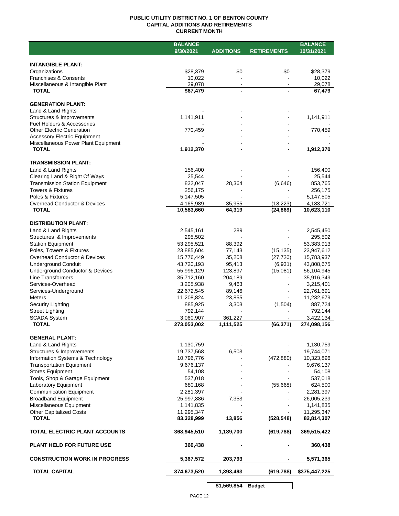### **PUBLIC UTILITY DISTRICT NO. 1 OF BENTON COUNTY CAPITAL ADDITIONS AND RETIREMENTS CURRENT MONTH**

|                                                             | <b>BALANCE</b>           |                  |                      | <b>BALANCE</b>           |
|-------------------------------------------------------------|--------------------------|------------------|----------------------|--------------------------|
|                                                             | 9/30/2021                | <b>ADDITIONS</b> | <b>RETIREMENTS</b>   | 10/31/2021               |
|                                                             |                          |                  |                      |                          |
| <b>INTANGIBLE PLANT:</b><br>Organizations                   | \$28,379                 | \$0              | \$0                  | \$28,379                 |
| Franchises & Consents                                       | 10,022                   |                  |                      | 10,022                   |
| Miscellaneous & Intangible Plant                            | 29,078                   | $\sim$           |                      | 29,078                   |
| <b>TOTAL</b>                                                | \$67,479                 | $\blacksquare$   |                      | 67,479                   |
|                                                             |                          |                  |                      |                          |
| <b>GENERATION PLANT:</b>                                    |                          |                  |                      |                          |
| Land & Land Rights                                          |                          |                  |                      |                          |
| Structures & Improvements<br>Fuel Holders & Accessories     | 1,141,911                |                  |                      | 1,141,911                |
| <b>Other Electric Generation</b>                            | 770,459                  |                  |                      | 770,459                  |
| <b>Accessory Electric Equipment</b>                         |                          |                  |                      |                          |
| Miscellaneous Power Plant Equipment                         |                          |                  |                      |                          |
| <b>TOTAL</b>                                                | 1,912,370                | $\blacksquare$   |                      | 1,912,370                |
|                                                             |                          |                  |                      |                          |
| <b>TRANSMISSION PLANT:</b><br>Land & Land Rights            | 156,400                  |                  |                      | 156,400                  |
| Clearing Land & Right Of Ways                               | 25,544                   |                  |                      | 25,544                   |
| <b>Transmission Station Equipment</b>                       | 832,047                  | 28,364           | (6,646)              | 853,765                  |
| <b>Towers &amp; Fixtures</b>                                | 256,175                  |                  |                      | 256,175                  |
| Poles & Fixtures                                            | 5,147,505                |                  |                      | 5,147,505                |
| <b>Overhead Conductor &amp; Devices</b>                     | 4,165,989                | 35,955           | (18, 223)            | 4,183,721                |
| <b>TOTAL</b>                                                | 10,583,660               | 64,319           | (24, 869)            | 10,623,110               |
|                                                             |                          |                  |                      |                          |
| <b>DISTRIBUTION PLANT:</b>                                  |                          |                  |                      |                          |
| Land & Land Rights                                          | 2,545,161                | 289              |                      | 2,545,450                |
| Structures & Improvements                                   | 295,502                  |                  |                      | 295,502                  |
| <b>Station Equipment</b>                                    | 53,295,521               | 88,392           |                      | 53,383,913               |
| Poles, Towers & Fixtures                                    | 23,885,604               | 77,143           | (15, 135)            | 23,947,612               |
| Overhead Conductor & Devices                                | 15,776,449<br>43,720,193 | 35,208<br>95,413 | (27, 720)<br>(6,931) | 15,783,937               |
| <b>Underground Conduit</b>                                  |                          | 123,897          |                      | 43,808,675               |
| Underground Conductor & Devices<br><b>Line Transformers</b> | 55,996,129<br>35,712,160 | 204,189          | (15,081)             | 56,104,945<br>35,916,349 |
| Services-Overhead                                           | 3,205,938                | 9,463            |                      | 3,215,401                |
| Services-Underground                                        | 22,672,545               | 89,146           |                      | 22,761,691               |
| <b>Meters</b>                                               | 11,208,824               | 23,855           |                      | 11,232,679               |
| Security Lighting                                           | 885,925                  | 3,303            | (1,504)              | 887,724                  |
| <b>Street Lighting</b>                                      | 792,144                  |                  |                      | 792,144                  |
| <b>SCADA System</b>                                         | 3,060,907                | 361,227          |                      | 3,422,134                |
| <b>TOTAL</b>                                                | 273,053,002              | 1,111,525        | (66, 371)            | 274,098,156              |
| <b>GENERAL PLANT:</b>                                       |                          |                  |                      |                          |
| Land & Land Rights                                          | 1,130,759                |                  |                      | 1,130,759                |
| Structures & Improvements                                   | 19,737,568               | 6,503            |                      | 19,744,071               |
| Information Systems & Technology                            | 10,796,776               |                  | (472, 880)           | 10,323,896               |
| <b>Transportation Equipment</b>                             | 9,676,137                |                  |                      | 9,676,137                |
| <b>Stores Equipment</b>                                     | 54,108                   |                  |                      | 54,108                   |
| Tools, Shop & Garage Equipment                              | 537,018                  |                  |                      | 537,018                  |
| Laboratory Equipment                                        | 680,168                  |                  | (55,668)             | 624,500                  |
| <b>Communication Equipment</b>                              | 2,281,397                |                  |                      | 2,281,397                |
| <b>Broadband Equipment</b>                                  | 25,997,886               | 7,353            |                      | 26,005,239               |
| Miscellaneous Equipment                                     | 1,141,835                |                  |                      | 1,141,835                |
| <b>Other Capitalized Costs</b>                              | 11,295,347               |                  |                      | 11,295,347               |
| <b>TOTAL</b>                                                | 83,328,999               | 13,856           | (528, 548)           | 82,814,307               |
| TOTAL ELECTRIC PLANT ACCOUNTS                               | 368,945,510              | 1,189,700        | (619, 788)           | 369,515,422              |
| <b>PLANT HELD FOR FUTURE USE</b>                            | 360,438                  |                  |                      | 360,438                  |
| <b>CONSTRUCTION WORK IN PROGRESS</b>                        | 5,367,572                | 203,793          |                      | 5,571,365                |
| <b>TOTAL CAPITAL</b>                                        | 374,673,520              | 1,393,493        | (619,788)            | \$375,447,225            |
|                                                             |                          |                  |                      |                          |

**\$1,569,854 Budget**

 $\sim$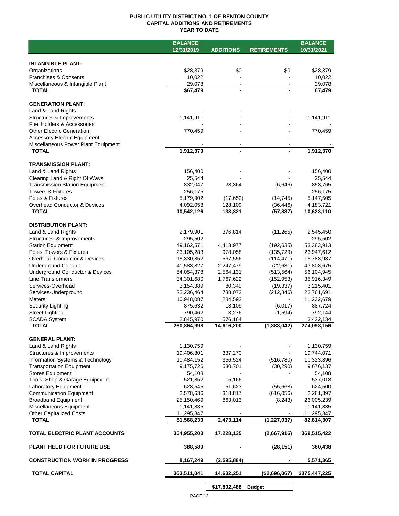### **PUBLIC UTILITY DISTRICT NO. 1 OF BENTON COUNTY CAPITAL ADDITIONS AND RETIREMENTS YEAR TO DATE**

|                                       | <b>BALANCE</b>          |                  |                    | <b>BALANCE</b> |
|---------------------------------------|-------------------------|------------------|--------------------|----------------|
|                                       | 12/31/2019              | <b>ADDITIONS</b> | <b>RETIREMENTS</b> | 10/31/2021     |
|                                       |                         |                  |                    |                |
| <b>INTANGIBLE PLANT:</b>              |                         |                  |                    |                |
| Organizations                         | \$28,379                | \$0              | \$0                | \$28,379       |
| <b>Franchises &amp; Consents</b>      | 10,022                  |                  |                    | 10,022         |
| Miscellaneous & Intangible Plant      | 29,078                  | $\blacksquare$   |                    | 29,078         |
| <b>TOTAL</b>                          | \$67,479                | $\overline{a}$   |                    | 67,479         |
|                                       |                         |                  |                    |                |
| <b>GENERATION PLANT:</b>              |                         |                  |                    |                |
| Land & Land Rights                    |                         |                  |                    |                |
| Structures & Improvements             | 1,141,911               |                  |                    | 1,141,911      |
| <b>Fuel Holders &amp; Accessories</b> |                         |                  |                    |                |
| <b>Other Electric Generation</b>      | 770,459                 |                  |                    | 770,459        |
| <b>Accessory Electric Equipment</b>   |                         |                  |                    |                |
| Miscellaneous Power Plant Equipment   |                         |                  |                    |                |
| <b>TOTAL</b>                          | 1,912,370               |                  |                    | 1,912,370      |
|                                       |                         |                  |                    |                |
| <b>TRANSMISSION PLANT:</b>            |                         |                  |                    |                |
| Land & Land Rights                    | 156,400                 |                  |                    | 156,400        |
| Clearing Land & Right Of Ways         | 25,544                  |                  |                    | 25,544         |
| <b>Transmission Station Equipment</b> | 832,047                 | 28,364           | (6,646)            | 853,765        |
| <b>Towers &amp; Fixtures</b>          | 256,175                 |                  |                    | 256,175        |
| Poles & Fixtures                      | 5,179,902               | (17, 652)        | (14, 745)          | 5,147,505      |
| Overhead Conductor & Devices          | 4,092,058               | 128,109          | (36, 446)          | 4,183,721      |
| <b>TOTAL</b>                          | $\overline{10,}542,126$ | 138,821          | (57, 837)          | 10,623,110     |
|                                       |                         |                  |                    |                |
| <b>DISTRIBUTION PLANT:</b>            |                         |                  |                    |                |
| Land & Land Rights                    | 2,179,901               | 376,814          | (11, 265)          | 2,545,450      |
| Structures & Improvements             | 295,502                 |                  |                    | 295,502        |
| <b>Station Equipment</b>              | 49,162,571              | 4,413,977        | (192, 635)         | 53,383,913     |
| Poles, Towers & Fixtures              | 23,105,283              | 978,058          |                    |                |
| Overhead Conductor & Devices          |                         |                  | (135, 729)         | 23,947,612     |
|                                       | 15,330,852              | 567,556          | (114, 471)         | 15,783,937     |
| <b>Underground Conduit</b>            | 41,583,827              | 2,247,479        | (22, 631)          | 43,808,675     |
| Underground Conductor & Devices       | 54,054,378              | 2,564,131        | (513, 564)         | 56,104,945     |
| Line Transformers                     | 34,301,680              | 1,767,622        | (152, 953)         | 35,916,349     |
| Services-Overhead                     | 3,154,389               | 80,349           | (19, 337)          | 3,215,401      |
| Services-Underground                  | 22,236,464              | 738,073          | (212, 846)         | 22,761,691     |
| <b>Meters</b>                         | 10,948,087              | 284,592          |                    | 11,232,679     |
| Security Lighting                     | 875,632                 | 18,109           | (6,017)            | 887,724        |
| <b>Street Lighting</b>                | 790,462                 | 3,276            | (1,594)            | 792,144        |
| <b>SCADA System</b>                   | 2,845,970               | 576,164          |                    | 3,422,134      |
| <b>TOTAL</b>                          | 260,864,998             | 14,616,200       | (1, 383, 042)      | 274,098,156    |
|                                       |                         |                  |                    |                |
| <b>GENERAL PLANT:</b>                 |                         |                  |                    |                |
| Land & Land Rights                    | 1,130,759               |                  |                    | 1,130,759      |
| Structures & Improvements             | 19,406,801              | 337,270          |                    | 19,744,071     |
| Information Systems & Technology      | 10,484,152              | 356,524          | (516, 780)         | 10,323,896     |
| <b>Transportation Equipment</b>       | 9,175,726               | 530,701          | (30, 290)          | 9,676,137      |
| <b>Stores Equipment</b>               | 54,108                  |                  |                    | 54,108         |
| Tools, Shop & Garage Equipment        | 521,852                 | 15,166           |                    | 537,018        |
| Laboratory Equipment                  | 628,545                 | 51,623           | (55,668)           | 624,500        |
| <b>Communication Equipment</b>        | 2,578,636               | 318,817          | (616, 056)         | 2,281,397      |
| <b>Broadband Equipment</b>            | 25,150,469              | 863,013          | (8, 243)           | 26,005,239     |
| Miscellaneous Equipment               | 1,141,835               |                  |                    | 1,141,835      |
| <b>Other Capitalized Costs</b>        | 11,295,347              |                  |                    | 11,295,347     |
| <b>TOTAL</b>                          | 81,568,230              | 2,473,114        | (1, 227, 037)      | 82,814,307     |
|                                       |                         |                  |                    |                |
| TOTAL ELECTRIC PLANT ACCOUNTS         | 354,955,203             | 17,228,135       | (2,667,916)        | 369,515,422    |
|                                       |                         |                  |                    |                |
| <b>PLANT HELD FOR FUTURE USE</b>      | 388,589                 |                  | (28, 151)          | 360,438        |
|                                       |                         |                  |                    |                |
| <b>CONSTRUCTION WORK IN PROGRESS</b>  | 8,167,249               | (2,595,884)      |                    | 5,571,365      |
|                                       |                         |                  |                    |                |
| <b>TOTAL CAPITAL</b>                  | 363,511,041             | 14,632,251       | (\$2,696,067)      | \$375,447,225  |
|                                       |                         |                  |                    |                |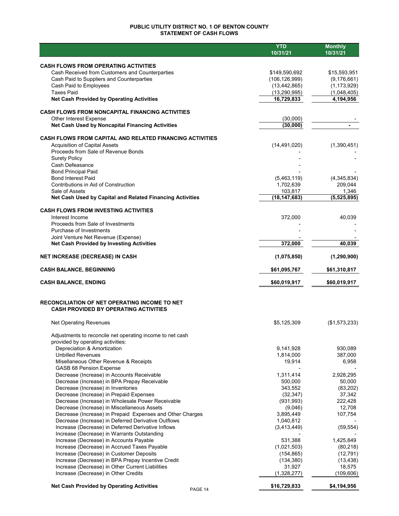## **PUBLIC UTILITY DISTRICT NO. 1 OF BENTON COUNTY STATEMENT OF CASH FLOWS**

|                                                                                               | <b>YTD</b><br>10/31/21       | <b>Monthly</b><br>10/31/21 |
|-----------------------------------------------------------------------------------------------|------------------------------|----------------------------|
|                                                                                               |                              |                            |
| <b>CASH FLOWS FROM OPERATING ACTIVITIES</b>                                                   |                              |                            |
| Cash Received from Customers and Counterparties                                               | \$149,590,692                | \$15,593,951               |
| Cash Paid to Suppliers and Counterparties                                                     | (106, 126, 999)              | (9, 176, 661)              |
| Cash Paid to Employees<br><b>Taxes Paid</b>                                                   | (13, 442, 865)               | (1, 173, 929)              |
| <b>Net Cash Provided by Operating Activities</b>                                              | (13, 290, 995)<br>16,729,833 | (1,048,405)<br>4,194,956   |
|                                                                                               |                              |                            |
| <b>CASH FLOWS FROM NONCAPITAL FINANCING ACTIVITIES</b>                                        |                              |                            |
| Other Interest Expense                                                                        | (30,000)                     |                            |
| Net Cash Used by Noncapital Financing Activities                                              | (30,000)                     |                            |
| <b>CASH FLOWS FROM CAPITAL AND RELATED FINANCING ACTIVITIES</b>                               |                              |                            |
| <b>Acquisition of Capital Assets</b>                                                          | (14, 491, 020)               | (1,390,451)                |
| Proceeds from Sale of Revenue Bonds                                                           |                              |                            |
| <b>Surety Policy</b>                                                                          |                              |                            |
| Cash Defeasance                                                                               |                              |                            |
| <b>Bond Principal Paid</b><br><b>Bond Interest Paid</b>                                       | (5,463,119)                  | (4,345,834)                |
| Contributions in Aid of Construction                                                          | 1,702,639                    | 209,044                    |
| Sale of Assets                                                                                | 103,817                      | 1,346                      |
| Net Cash Used by Capital and Related Financing Activities                                     | (18, 147, 683)               | (5,525,895)                |
| <b>CASH FLOWS FROM INVESTING ACTIVITIES</b>                                                   |                              |                            |
| Interest Income                                                                               | 372,000                      | 40,039                     |
| Proceeds from Sale of Investments                                                             |                              |                            |
| Purchase of Investments                                                                       |                              |                            |
| Joint Venture Net Revenue (Expense)                                                           |                              |                            |
| <b>Net Cash Provided by Investing Activities</b>                                              | 372,000                      | 40,039                     |
| NET INCREASE (DECREASE) IN CASH                                                               | (1,075,850)                  | (1, 290, 900)              |
| <b>CASH BALANCE, BEGINNING</b>                                                                | \$61,095,767                 | \$61,310,817               |
| <b>CASH BALANCE, ENDING</b>                                                                   | \$60,019,917                 | \$60,019,917               |
|                                                                                               |                              |                            |
| RECONCILIATION OF NET OPERATING INCOME TO NET<br><b>CASH PROVIDED BY OPERATING ACTIVITIES</b> |                              |                            |
|                                                                                               |                              |                            |
| <b>Net Operating Revenues</b>                                                                 | \$5,125,309                  | (\$1,573,233)              |
| Adjustments to reconcile net operating income to net cash                                     |                              |                            |
| provided by operating activities:                                                             |                              |                            |
| Depreciation & Amortization                                                                   | 9,141,928                    | 930,089                    |
| <b>Unbilled Revenues</b>                                                                      | 1,814,000                    | 387,000                    |
| Misellaneous Other Revenue & Receipts                                                         | 19,914                       | 6,958                      |
| <b>GASB 68 Pension Expense</b><br>Decrease (Increase) in Accounts Receivable                  | 1,311,414                    | 2,928,295                  |
| Decrease (Increase) in BPA Prepay Receivable                                                  | 500,000                      | 50,000                     |
| Decrease (Increase) in Inventories                                                            | 343,552                      | (83, 202)                  |
| Decrease (Increase) in Prepaid Expenses                                                       | (32, 347)                    | 37,342                     |
| Decrease (Increase) in Wholesale Power Receivable                                             | (931, 993)                   | 222,428                    |
| Decrease (Increase) in Miscellaneous Assets                                                   | (9,046)                      | 12,708                     |
| Decrease (Increase) in Prepaid Expenses and Other Charges                                     | 3,895,449                    | 107,754                    |
| Decrease (Increase) in Deferred Derivative Outflows                                           | 1,040,812                    |                            |
| Increase (Decrease) in Deferred Derivative Inflows                                            | (3,413,449)                  | (59, 554)                  |
| Increase (Decrease) in Warrants Outstanding                                                   |                              |                            |
| Increase (Decrease) in Accounts Payable                                                       | 531,388                      | 1,425,849                  |
| Increase (Decrease) in Accrued Taxes Payable                                                  | (1,021,503)                  | (80, 218)                  |
| Increase (Decrease) in Customer Deposits                                                      | (154, 865)                   | (12, 791)                  |
| Increase (Decrease) in BPA Prepay Incentive Credit                                            | (134, 380)                   | (13, 438)                  |
| Increase (Decrease) in Other Current Liabilities                                              | 31,927                       | 18,575                     |
| Increase (Decrease) in Other Credits                                                          | (1,328,277)                  | (109, 606)                 |
| <b>Net Cash Provided by Operating Activities</b><br>PAGE 14                                   | \$16,729,833                 | \$4,194,956                |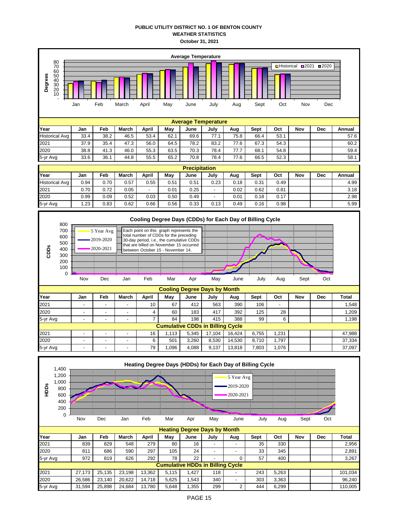### **PUBLIC UTILITY DISTRICT NO. 1 OF BENTON COUNTY WEATHER STATISTICS October 31, 2021**

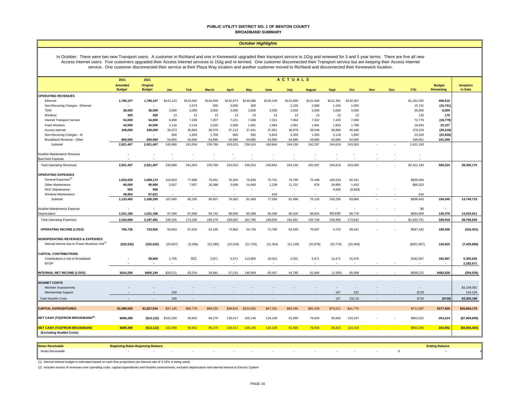#### **PUBLIC UTILITY DISTRICT NO. 1 OF BENTON COUNTY BROADBAND SUMMARY**

#### *October Highlights*

In October: There were two new Transport users. A customer in Richland and one in Kennewick upgraded their transport service to 1Gig and renewed for 3 and 5 year terms. There are five all new Access Internet users. Five customers upgraded their Access Internet services to 1Gig and re-termed. One customer disconnected their Transport service but are keeping their Access Internet service. One customer disconnected their service at their Plaza Way location and another customer moved to Richland and disconnected their Kennewick location.

|                                                                 | 2021                            | ACTUALS<br>2021           |                          |           |                          |                          |                          |                          |                          |               |                          |                          |        |     |                          |                            |                      |
|-----------------------------------------------------------------|---------------------------------|---------------------------|--------------------------|-----------|--------------------------|--------------------------|--------------------------|--------------------------|--------------------------|---------------|--------------------------|--------------------------|--------|-----|--------------------------|----------------------------|----------------------|
|                                                                 | <b>Amended</b><br><b>Budget</b> | Original<br><b>Budget</b> | Jan                      | Feb       | <b>March</b>             | <b>April</b>             | <b>May</b>               | June                     | July                     | <b>August</b> | <b>Sept</b>              | Oct                      | Nov    | Dec | <b>YTD</b>               | <b>Budget</b><br>Remaining | Inception<br>to Date |
| <b>OPERATING REVENUES</b>                                       |                                 |                           |                          |           |                          |                          |                          |                          |                          |               |                          |                          |        |     |                          |                            |                      |
| Ethernet                                                        | 1,790,107                       | 1,790,107                 | \$143,123                | \$133,582 | \$134,059                | \$132,973                | \$130,586                | \$130,159                | \$131,809                | \$131,509     | \$131,391                | \$132,401                |        |     | \$1,331,592              | 458,515                    |                      |
| Non-Recurring Charges - Ethernet                                |                                 |                           |                          | 2,673     | 500                      | 5,000                    | 300                      | $\overline{\phantom{a}}$ | 2,150                    | 2,968         | 1,150                    | 1,000                    |        |     | 15,741                   | (15, 741)                  |                      |
| <b>TDM</b>                                                      | 36,000                          | 36,000                    | 3,000                    | 3,000     | 3,000                    | 3,000                    | 3,000                    | 3,000                    | 3,000                    | 3,000         | 3,000                    | 3,000                    |        |     | 30,000                   | 6,000                      |                      |
| Wireless                                                        | 300                             | 300                       | 13                       | 13        | 13                       | 13                       | 13                       | 13                       | 13                       | 13            | 13                       | 13                       |        |     | 130                      | 170                        |                      |
| Internet Transport Service                                      | 54,000                          | 54,000                    | 6,999                    | 7,189     | 7,207                    | 7,221                    | 7,348                    | 7,321                    | 7,064                    | 7,322         | 7,420                    | 7,690                    |        |     | 72,779                   | (18, 779)                  |                      |
| <b>Fixed Wireless</b>                                           | 42,000                          | 42,000                    | 2,116                    | 2,110     | 2,020                    | 2,009                    | 1,991                    | 1,994                    | 1,991                    | 1,991         | 1,833                    | 1,788                    |        |     | 19,843                   | 22,157                     |                      |
| Access Internet                                                 | 349,000                         | 349,000                   | 35,073                   | 35,894    | 36,375                   | 37,113                   | 37,441                   | 37,651                   | 38,878                   | 39,548        | 39,800                   | 40,446                   |        |     | 378,218                  | (29, 218)                  |                      |
| Non-Recurring Charges - Al                                      | $\overline{\phantom{a}}$        | $\sim$                    | 650                      | 1,650     | 1,700                    | 800                      | 950                      | 5,810                    | 4,350                    | 1,050         | 5,118                    | 1,850                    |        |     | 23,928                   | (23, 928)                  |                      |
| Broadband Revenue - Other                                       | 650,000                         | 650,000                   | 54,895                   | 54,895    | 54,895                   | 54.895                   | 54,895                   | 54,895                   | 54.895                   | 54,895        | 54,895                   | 54,895                   |        |     | 548,951                  | 101,049                    |                      |
| Subtotal                                                        | 2,921,407                       | 2,921,407                 | 245,868                  | 241,004   | 239,769                  | 243,023                  | 236,524                  | 240,844                  | 244,150                  | 242,297       | 244,619                  | 243,083                  |        |     | 2,421,183                |                            |                      |
| NoaNet Maintenance Revenue                                      |                                 |                           |                          |           |                          |                          | $\overline{\phantom{a}}$ |                          |                          |               |                          |                          |        |     |                          |                            |                      |
| <b>Bad Debt Expense</b>                                         |                                 |                           |                          |           |                          |                          |                          |                          |                          |               |                          |                          |        |     |                          |                            |                      |
| <b>Total Operating Revenues</b>                                 | 2,921,407                       | 2,921,407                 | 245,868                  | 241,004   | 239,769                  | 243,023                  | 236,524                  | 240,844                  | 244,150                  | 242,297       | 244,619                  | 243,083                  |        |     | \$2,421,183              | 500,224                    | 28,350,175           |
| <b>OPERATING EXPENSES</b>                                       |                                 |                           |                          |           |                          |                          |                          |                          |                          |               |                          |                          |        |     |                          |                            |                      |
| General Expenses <sup>(3)</sup>                                 | 1,023,029                       | 1,008,174                 | 104,903                  | 77,688    | 79,451                   | 76,304                   | 76,939                   | 75,701                   | 79,795                   | 75,448        | 100,533                  | 92,241                   |        |     | \$839,004                |                            |                      |
| Other Maintenance                                               | 60,000                          | 90,000                    | 2,937                    | 7,507     | 16,386                   | 3,058                    | 14,469                   | 1,238                    | 11,701                   | 678           | 39,895                   | 1,453                    |        |     | \$99,323                 |                            |                      |
| NOC Maintenance                                                 | 500                             | 500                       | $\overline{a}$           | $\sim$    | $\overline{\phantom{a}}$ | $\overline{\phantom{a}}$ | $\sim$                   | $\sim$                   | $\overline{\phantom{a}}$ |               | 9,828                    | (9,828)                  |        |     | $\overline{\phantom{a}}$ |                            |                      |
| Wireless Maintenance                                            | 49,954                          | 67,621                    |                          |           |                          |                          |                          | 616                      |                          |               |                          |                          |        |     | 616                      |                            |                      |
| Subtotal                                                        | 1,133,483                       | 1,166,295                 | 107,840                  | 85,195    | 95,837                   | 79,362                   | 91,409                   | 77,556                   | 91,496                   | 76,126        | 150,256                  | 83,866                   |        |     | \$938,943                | 194,540                    | 14,740,715           |
| NoaNet Maintenance Expense                                      |                                 |                           |                          |           |                          |                          | $\overline{\phantom{a}}$ | $\overline{\phantom{a}}$ |                          |               | ÷                        |                          |        |     | \$0                      |                            |                      |
| Depreciation                                                    | 1,031,186                       | 1,031,186                 | 87,366                   | 87,990    | 89,742                   | 89,699                   | 90,388                   | 90,499                   | 90,105                   | 89,604        | 89,639                   | 89,776                   |        |     | \$894,809                | 136,378                    | 14,025,911           |
| <b>Total Operating Expenses</b>                                 | 2,164,669                       | 2,197,481                 | 195,205                  | 173,185   | 185,579                  | 169,062                  | 181,796                  | 168,055                  | 181,601                  | 165,730       | 239,896                  | 173,642                  |        |     | \$1,833,751              | 330,918                    | 28,766,626           |
| <b>OPERATING INCOME (LOSS)</b>                                  | 756,738                         | 723,926                   | 50,663                   | 67,819    | 54,190                   | 73,962                   | 54,728                   | 72,789                   | 62,549                   | 76,567        | 4,723                    | 69,441                   |        |     | \$587,432                | 169,306                    | (416, 451)           |
| <b>NONOPERATING REVENUES &amp; EXPENSES</b>                     |                                 |                           |                          |           |                          |                          |                          |                          |                          |               |                          |                          |        |     |                          |                            |                      |
| Internal Interest due to Power Business Unit <sup>(1</sup> )    | (332, 532)                      | (332, 532)                | (25, 857)                | (5,406)   | (22, 380)                | (22, 018)                | (21, 726)                | (21, 354)                | (21, 100)                | (20, 878)     | (20, 779)                | (20, 409)                |        |     | (\$201,907)              | 130,625                    | (7, 425, 890)        |
| <b>CAPITAL CONTRIBUTIONS</b>                                    |                                 |                           |                          |           |                          |                          |                          |                          |                          |               |                          |                          |        |     |                          |                            |                      |
| Contributions in Aid of Broadband                               |                                 | 58,800                    | 1,705                    | 921       | 2,871                    | 5,571                    | 113,856                  | 18,022                   | 3,331                    | 5,971         | 14,471                   | 15,976                   |        |     | \$182,697                | 182,697                    | 5,305,635            |
| <b>BTOP</b>                                                     |                                 |                           |                          |           |                          |                          |                          |                          |                          |               | $\overline{\phantom{a}}$ |                          |        |     |                          |                            | 2,282,671            |
| <b>INTERNAL NET INCOME (LOSS)</b>                               | \$424.206                       | \$450.194                 | \$26,511                 | 63.334    | 34.681                   | 57.515                   | 146.858                  | 69.457                   | 44.780                   | 61.660        | (1.585)                  | 65,008                   |        |     | \$568.222                | \$482,628                  | (254, 035)           |
| <b>NOANET COSTS</b>                                             |                                 |                           |                          |           |                          |                          |                          |                          |                          |               |                          |                          |        |     |                          |                            |                      |
| Member Assessments                                              |                                 |                           | $\overline{\phantom{a}}$ |           |                          |                          |                          |                          |                          |               | $\overline{\phantom{a}}$ | $\overline{\phantom{a}}$ |        |     | $\overline{\phantom{a}}$ |                            | \$3,159,092          |
| Membership Support                                              |                                 |                           | 328                      |           |                          |                          |                          |                          |                          |               | 167                      | 232                      |        |     | \$728                    |                            | 144,104              |
| <b>Total NoaNet Costs</b>                                       |                                 |                           | 328                      | $\sim$    |                          |                          |                          |                          |                          |               | 167                      | 232.33                   |        |     | \$728                    | ( \$728)                   | \$3,303,196          |
| <b>CAPITAL EXPENDITURES</b>                                     | \$1,089,526                     | \$1,827,034               | \$37,145                 | \$96,778  | \$66,533                 | \$38,815                 | \$153,825                | \$47,201                 | \$64,295                 | \$92,209      | \$73,011                 | \$41,775                 |        |     | \$711,587                | \$377,939                  | \$25,864,170         |
|                                                                 |                                 |                           |                          |           |                          |                          |                          |                          |                          |               |                          |                          |        |     |                          |                            |                      |
| NET CASH (TO)/FROM BROADBAND <sup>(2)</sup>                     | \$698,398                       | ( \$13, 122)              | \$102,260                | 59,952    | 80,270                   | 130,417                  | 105,146                  | 134,109                  | 91,690                   | 79,934        | 35,656                   | 133,187                  |        |     | \$952,622                | 254,224                    | (\$7,969,600)        |
| <b>NET CASH (TO)/FROM BROADBAND</b><br>(Excluding NoaNet Costs) | \$698,398                       | ( \$13, 122)              | 102,589                  | 59,952    | 80,270                   | 130,417                  | 105,146                  | 134,109                  | 91,690                   | 79,934        | 35,823                   | 133,419                  | $\sim$ |     | \$953,350                | 254,952                    | (\$4,666,404)        |

| <b>Notes Receivable</b> | <b>Beginning Balan Beginning Balance</b> |  |  |  |  |  |  | <b>Ending Balance</b> |  |
|-------------------------|------------------------------------------|--|--|--|--|--|--|-----------------------|--|
| Notes Receivable        |                                          |  |  |  |  |  |  |                       |  |
|                         |                                          |  |  |  |  |  |  |                       |  |

(1) Internal interest budget is estimated based on cash flow projections (an interest rate of 3.33% is being used).

(2) Includes excess of revenues over operating costs, capital expenditures and NoaNet assessments; excludes depreciation and internal interest to Electric System